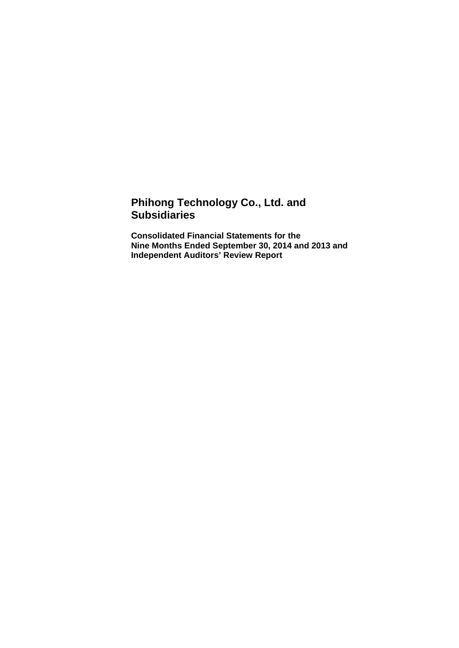# **Phihong Technology Co., Ltd. and Subsidiaries**

**Consolidated Financial Statements for the Nine Months Ended September 30, 2014 and 2013 and Independent Auditors' Review Report**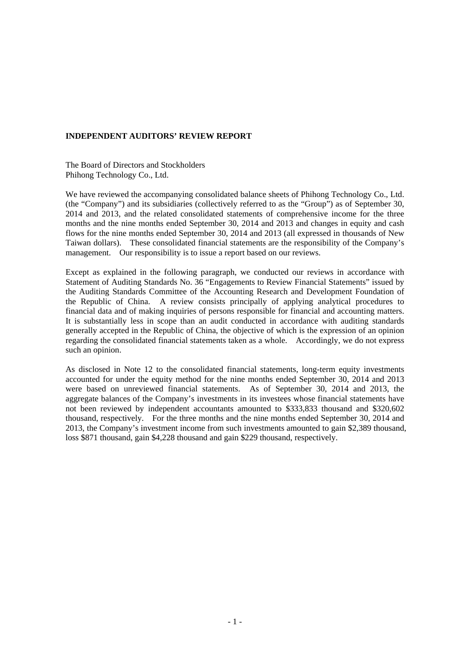#### **INDEPENDENT AUDITORS' REVIEW REPORT**

The Board of Directors and Stockholders Phihong Technology Co., Ltd.

We have reviewed the accompanying consolidated balance sheets of Phihong Technology Co., Ltd. (the "Company") and its subsidiaries (collectively referred to as the "Group") as of September 30, 2014 and 2013, and the related consolidated statements of comprehensive income for the three months and the nine months ended September 30, 2014 and 2013 and changes in equity and cash flows for the nine months ended September 30, 2014 and 2013 (all expressed in thousands of New Taiwan dollars). These consolidated financial statements are the responsibility of the Company's management. Our responsibility is to issue a report based on our reviews.

Except as explained in the following paragraph, we conducted our reviews in accordance with Statement of Auditing Standards No. 36 "Engagements to Review Financial Statements" issued by the Auditing Standards Committee of the Accounting Research and Development Foundation of the Republic of China. A review consists principally of applying analytical procedures to financial data and of making inquiries of persons responsible for financial and accounting matters. It is substantially less in scope than an audit conducted in accordance with auditing standards generally accepted in the Republic of China, the objective of which is the expression of an opinion regarding the consolidated financial statements taken as a whole. Accordingly, we do not express such an opinion.

As disclosed in Note 12 to the consolidated financial statements, long-term equity investments accounted for under the equity method for the nine months ended September 30, 2014 and 2013 were based on unreviewed financial statements. As of September 30, 2014 and 2013, the aggregate balances of the Company's investments in its investees whose financial statements have not been reviewed by independent accountants amounted to \$333,833 thousand and \$320,602 thousand, respectively. For the three months and the nine months ended September 30, 2014 and 2013, the Company's investment income from such investments amounted to gain \$2,389 thousand, loss \$871 thousand, gain \$4,228 thousand and gain \$229 thousand, respectively.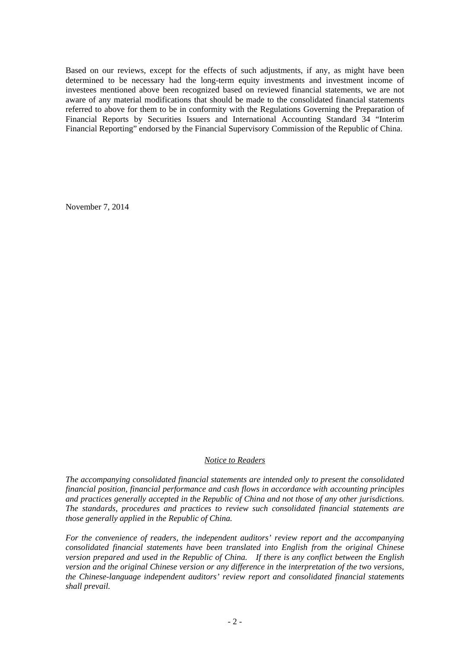Based on our reviews, except for the effects of such adjustments, if any, as might have been determined to be necessary had the long-term equity investments and investment income of investees mentioned above been recognized based on reviewed financial statements, we are not aware of any material modifications that should be made to the consolidated financial statements referred to above for them to be in conformity with the Regulations Governing the Preparation of Financial Reports by Securities Issuers and International Accounting Standard 34 "Interim Financial Reporting" endorsed by the Financial Supervisory Commission of the Republic of China.

November 7, 2014

#### *Notice to Readers*

*The accompanying consolidated financial statements are intended only to present the consolidated financial position, financial performance and cash flows in accordance with accounting principles and practices generally accepted in the Republic of China and not those of any other jurisdictions. The standards, procedures and practices to review such consolidated financial statements are those generally applied in the Republic of China.* 

*For the convenience of readers, the independent auditors' review report and the accompanying consolidated financial statements have been translated into English from the original Chinese version prepared and used in the Republic of China. If there is any conflict between the English version and the original Chinese version or any difference in the interpretation of the two versions, the Chinese-language independent auditors' review report and consolidated financial statements shall prevail.*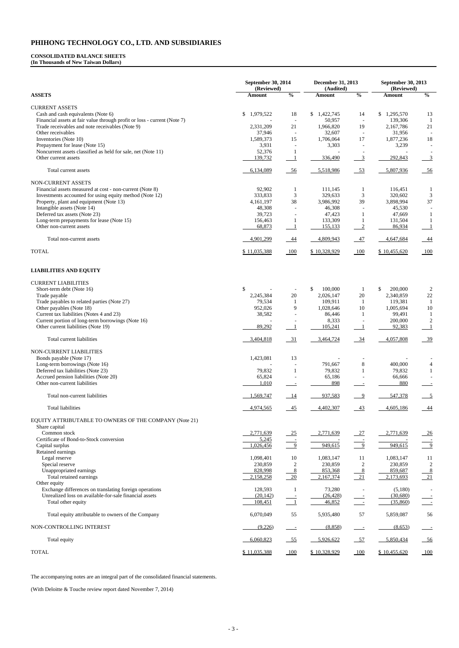**September 30, 2014 (Reviewed) December 31, 2013 (Audited) September 30, 2013 (Reviewed) ASSETS Amount % Amount % Amount %**  CURRENT ASSETS Cash and cash equivalents (Note 6)  $$ 1,979,522$  18  $$ 1,422,745$  14  $$ 1,295,570$  13 Financial assets at fair value through profit or loss - current (Note 7) and the set of the set of the set of the set of the set of the set of the set of the set of the set of the set of the set of the set of the set of th Trade receivables and note receivables (Note 9)  $2,331,209$   $21$   $1,966,820$   $19$   $2,167,786$   $21$ Other receivables 31,956 - 32,607 - 31,956 - 31,956 - 32,607 - 31,956 - 31,956 - 31,956 - 31,956 - 31,956 - 31,956 - 31,956 - 31,956 - 31,956 - 31,956 - 31,956 - 31,956 - 31,956 - 31,956 - 31,956 - 31,956 - 31,956 - 31,956 Inventories (Note 10) 1,589,373 15 1,706,064 17 1,877,236 18 Prepayment for lease (Note 15) 3,931 - 3,303 - 3,239 - 3,239 -Noncurrent assets classified as held for sale, net (Note 11) 52,376 1 Other current assets 139,732 1 336,490 3 292,843 3 Total current assets 6,134,089 56 5,518,986 53 5,807,936 56 5,518,986 55,518,986 55,807,936 56 NON-CURRENT ASSETS Financial assets measured at cost - non-current (Note 8) 82,902 1 111,145 1 116,451 1 Investments accounted for using equity method (Note 12) 333,833 333,833 329,633 329,633 320,602 3 Property, plant and equipment (Note 13)  $\begin{array}{cccc} 4,161,197 & 38 & 3,986,992 & 39 & 3,898,994 & 37 \\ 4,308 & - & 46,308 & - & 45,530 \end{array}$ Intangible assets (Note 14)  $48,308$  -  $46,308$  -  $45,530$ Deferred tax assets (Note 23) 39,723 - 47,423 1 47,669 1 Long-term prepayments for lease (Note 15) 156,463 1 133,309 1 131,504 1 Other non-current assets 68,873 1 1 55,133 2 86,934 1 Total non-current assets **4,901,299** 44 4,809,943 47 4,647,684 44 TOTAL 6 11,035,388 100 \$ 10,328,929 100 \$ 10,455,620 100

#### **CONSOLIDATED BALANCE SHEETS (In Thousands of New Taiwan Dollars)**

### **LIABILITIES AND EQUITY**

| <b>CURRENT LIABILITIES</b>                             |              |                |               |                          |               |                           |
|--------------------------------------------------------|--------------|----------------|---------------|--------------------------|---------------|---------------------------|
| Short-term debt (Note 16)                              | \$           |                | \$<br>100,000 | $\mathbf{1}$             | \$<br>200,000 | $\mathfrak{2}$            |
| Trade payable                                          | 2,245,384    | 20             | 2,026,147     | 20                       | 2,340,859     | $22\,$                    |
| Trade payables to related parties (Note 27)            | 79,534       | -1             | 109,911       | -1                       | 119,381       | $\overline{1}$            |
| Other payables (Note 18)                               | 952,026      | 9              | 1,028,646     | 10                       | 1,005,694     | 10                        |
| Current tax liabilities (Notes 4 and 23)               | 38,582       |                | 86,446        | $\mathbf{1}$             | 99,491        | -1                        |
| Current portion of long-term borrowings (Note 16)      |              |                | 8,333         |                          | 200,000       | $\overline{2}$            |
| Other current liabilities (Note 19)                    | 89,292       | $\overline{1}$ | 105,241       | $\overline{1}$           | 92,383        | $\overline{\phantom{0}}$  |
| Total current liabilities                              | 3,404,818    | $-31$          | 3,464,724     | $\frac{34}{ }$           | 4,057,808     | $-39$                     |
| NON-CURRENT LIABILITIES                                |              |                |               |                          |               |                           |
| Bonds payable (Note 17)                                | 1,423,081    | 13             |               |                          |               |                           |
| Long-term borrowings (Note 16)                         |              |                | 791,667       | 8                        | 400,000       | $\overline{4}$            |
| Deferred tax liabilities (Note 23)                     | 79,832       | $\mathbf{1}$   | 79,832        | $\mathbf{1}$             | 79,832        | $\mathbf{1}$              |
| Accrued pension liabilities (Note 20)                  | 65,824       |                | 65,186        |                          | 66,666        |                           |
| Other non-current liabilities                          | 1,010        |                | 898           | $\overline{\phantom{a}}$ | 880           |                           |
| Total non-current liabilities                          | 1,569,747    | 14             | 937,583       | $\overline{9}$           | 547,378       | $\overline{\phantom{0}5}$ |
| <b>Total liabilities</b>                               | 4,974,565    | 45             | 4,402,307     | 43                       | 4,605,186     | $-44$                     |
| EQUITY ATTRIBUTABLE TO OWNERS OF THE COMPANY (Note 21) |              |                |               |                          |               |                           |
| Share capital                                          |              |                |               |                          |               |                           |
| Common stock                                           | 2,771,639    | $-25$          | 2,771,639     | 27                       | 2,771,639     | $-26$                     |
| Certificate of Bond-to-Stock conversion                | 5,245        |                |               |                          |               | $\frac{1}{9}$             |
| Capital surplus                                        | 1,026,456    | 9              | 949,615       | 9                        | 949,615       |                           |
| Retained earnings                                      |              |                |               |                          |               |                           |
| Legal reserve                                          | 1,098,401    | 10             | 1,083,147     | 11                       | 1,083,147     | <sup>11</sup>             |
| Special reserve                                        | 230,859      | $\sqrt{2}$     | 230,859       | $\sqrt{2}$               | 230,859       | $\overline{2}$            |
| Unappropriated earnings                                | 828,998      | 8              | 853,368       | 8                        | 859,687       | $\frac{8}{-21}$           |
| Total retained earnings                                | 2,158,258    | 20             | 2,167,374     | $\overline{21}$          | 2,173,693     |                           |
| Other equity                                           |              |                |               |                          |               |                           |
| Exchange differences on translating foreign operations | 128,593      | -1             | 73,280        | $\sim$                   | (5,180)       |                           |
| Unrealized loss on available-for-sale financial assets | (20, 142)    |                | (26, 428)     |                          | (30,680)      |                           |
| Total other equity                                     | 108,451      | $\blacksquare$ | 46,852        | $\equiv$                 | (35,860)      | $\overline{\phantom{a}}$  |
| Total equity attributable to owners of the Company     | 6,070,049    | 55             | 5,935,480     | 57                       | 5,859,087     | 56                        |
| NON-CONTROLLING INTEREST                               | (9,226)      |                | (8,858)       | $\equiv$                 | (8,653)       |                           |
| Total equity                                           | 6,060,823    | $-55$          | 5,926,622     | $-57$                    | 5,850,434     | $-56$                     |
| <b>TOTAL</b>                                           | \$11,035,388 | 100            | \$10,328,929  | 100                      | \$10,455,620  | 100                       |

The accompanying notes are an integral part of the consolidated financial statements.

(With Deloitte & Touche review report dated November 7, 2014)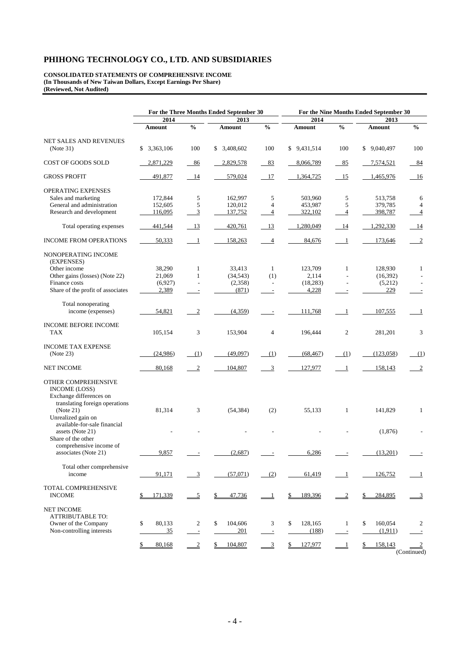**CONSOLIDATED STATEMENTS OF COMPREHENSIVE INCOME (In Thousands of New Taiwan Dollars, Except Earnings Per Share) (Reviewed, Not Audited)** 

|                                                                                                                | For the Three Months Ended September 30 |                          |               |                          | For the Nine Months Ended September 30 |                          |                |                           |
|----------------------------------------------------------------------------------------------------------------|-----------------------------------------|--------------------------|---------------|--------------------------|----------------------------------------|--------------------------|----------------|---------------------------|
|                                                                                                                | 2014                                    |                          | 2013          |                          | 2014                                   |                          | 2013           |                           |
|                                                                                                                | Amount                                  | $\frac{0}{6}$            | <b>Amount</b> | $\frac{0}{6}$            | Amount                                 | $\frac{0}{6}$            | Amount         | $\frac{0}{0}$             |
| NET SALES AND REVENUES                                                                                         |                                         |                          |               |                          |                                        |                          |                |                           |
| (Note 31)                                                                                                      | \$3,363,106                             | 100                      | \$3,408,602   | 100                      | \$9,431,514                            | 100                      | \$9,040,497    | 100                       |
| COST OF GOODS SOLD                                                                                             | 2,871,229                               | 86                       | 2,829,578     | 83                       | 8,066,789                              | 85                       | 7,574,521      | $-84$                     |
| <b>GROSS PROFIT</b>                                                                                            | 491,877                                 | 14                       | 579,024       | 17                       | 1,364,725                              | 15                       | 1,465,976      | - 16                      |
| <b>OPERATING EXPENSES</b>                                                                                      |                                         |                          |               |                          |                                        |                          |                |                           |
| Sales and marketing                                                                                            | 172,844                                 | 5                        | 162,997       | 5                        | 503,960                                | 5                        | 513,758        | 6                         |
| General and administration                                                                                     | 152,605                                 | 5                        | 120,012       | $\overline{4}$           | 453,987                                | 5                        | 379,785        | $\overline{4}$            |
| Research and development                                                                                       | 116,095                                 | 3                        | 137,752       | 4                        | 322,102                                | $\overline{4}$           | 398,787        | $\overline{4}$            |
| Total operating expenses                                                                                       | 441,544                                 | - 13                     | 420,761       | 13                       | 1,280,049                              | 14                       | 1,292,330      | - 14                      |
| <b>INCOME FROM OPERATIONS</b>                                                                                  | 50,333                                  | $\overline{1}$           | 158,263       | $\overline{4}$           | 84,676                                 | $\overline{1}$           | 173,646        | $\overline{2}$            |
| NONOPERATING INCOME<br>(EXPENSES)                                                                              |                                         |                          |               |                          |                                        |                          |                |                           |
| Other income                                                                                                   | 38,290                                  | $\mathbf{1}$             | 33,413        | 1                        | 123,709                                | $\mathbf{1}$             | 128,930        | $\mathbf{1}$              |
| Other gains (losses) (Note 22)                                                                                 | 21,069                                  | $\mathbf{1}$             | (34, 543)     | (1)                      | 2,114                                  |                          | (16, 392)      |                           |
| Finance costs                                                                                                  | (6,927)                                 | ÷.                       | (2,358)       | $\overline{a}$           | (18, 283)                              | $\overline{a}$           | (5,212)        |                           |
| Share of the profit of associates                                                                              | 2,389                                   | $\overline{\phantom{a}}$ | (871)         | $\overline{\phantom{a}}$ | 4,228                                  |                          | 229            |                           |
|                                                                                                                |                                         |                          |               |                          |                                        |                          |                |                           |
| Total nonoperating<br>income (expenses)                                                                        | 54,821                                  | $\overline{2}$           | (4,359)       |                          | 111,768                                | 1                        | 107,555        | 1                         |
| <b>INCOME BEFORE INCOME</b>                                                                                    |                                         |                          |               |                          |                                        |                          |                |                           |
| <b>TAX</b>                                                                                                     | 105,154                                 | 3                        | 153,904       | 4                        | 196,444                                | $\overline{c}$           | 281,201        | 3                         |
|                                                                                                                |                                         |                          |               |                          |                                        |                          |                |                           |
| <b>INCOME TAX EXPENSE</b>                                                                                      | (24,986)                                |                          | (49,097)      |                          | (68, 467)                              |                          | (123,058)      |                           |
| (Note 23)                                                                                                      |                                         | (1)                      |               | (1)                      |                                        | (1)                      |                | (1)                       |
| <b>NET INCOME</b>                                                                                              | 80,168                                  | $\overline{2}$           | 104,807       | $\frac{3}{2}$            | 127,977                                | $\overline{\phantom{0}}$ | 158,143        | $\overline{\phantom{0}2}$ |
| OTHER COMPREHENSIVE<br>INCOME (LOSS)<br>Exchange differences on<br>translating foreign operations<br>(Note 21) | 81,314                                  | 3                        | (54, 384)     | (2)                      | 55,133                                 | 1                        | 141,829        | $\mathbf{1}$              |
| Unrealized gain on<br>available-for-sale financial                                                             |                                         |                          |               |                          |                                        |                          |                |                           |
| assets (Note 21)<br>Share of the other                                                                         |                                         |                          |               |                          |                                        |                          | (1,876)        |                           |
| comprehensive income of                                                                                        |                                         |                          |               |                          |                                        |                          |                |                           |
| associates (Note 21)                                                                                           | 9,857                                   | $\overline{\phantom{a}}$ | (2,687)       | $\sim$                   | 6,286                                  |                          | (13,201)       | $\overline{a}$            |
| Total other comprehensive<br>income                                                                            | 91,171                                  | $\frac{3}{2}$            | (57,071)      | (2)                      | 61,419                                 | $\overline{\phantom{0}}$ | 126,752        | $\perp$                   |
| TOTAL COMPREHENSIVE<br><b>INCOME</b>                                                                           | 171,339<br>\$                           | $\overline{5}$           | 47,736<br>\$  | $\perp$                  | 189,396                                | $\overline{2}$           | 284,895        | $\overline{3}$            |
| <b>NET INCOME</b><br><b>ATTRIBUTABLE TO:</b>                                                                   |                                         |                          |               |                          |                                        |                          |                |                           |
| Owner of the Company                                                                                           | \$<br>80,133                            | $\overline{c}$           | 104,606<br>\$ | 3                        | 128,165<br>\$                          | $\mathbf{1}$             | 160,054<br>\$  | 2                         |
| Non-controlling interests                                                                                      | $\frac{35}{2}$                          | $\overline{z}$           | 201           | $\overline{a}$           | (188)                                  | $\overline{\phantom{a}}$ | (1,911)        | $\equiv$                  |
|                                                                                                                | 80,168<br>S.                            | $\overline{2}$           | 104,807<br>\$ | $\frac{3}{2}$            | 127,977<br>\$.                         | $\perp$                  | 158,143<br>\$_ | (Continued)               |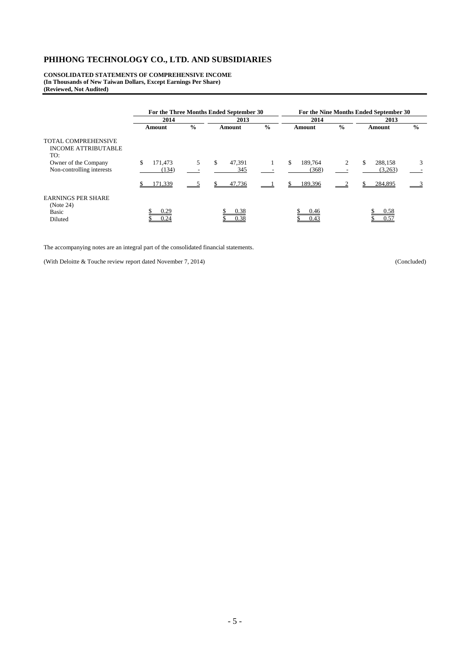**CONSOLIDATED STATEMENTS OF COMPREHENSIVE INCOME (In Thousands of New Taiwan Dollars, Except Earnings Per Share) (Reviewed, Not Audited)** 

|                                                                                                                      | For the Three Months Ended September 30 |               |                     |               |                        |               | For the Nine Months Ended September 30 |               |
|----------------------------------------------------------------------------------------------------------------------|-----------------------------------------|---------------|---------------------|---------------|------------------------|---------------|----------------------------------------|---------------|
|                                                                                                                      | 2014                                    |               | 2013                |               | 2014                   |               | 2013                                   |               |
|                                                                                                                      | Amount                                  | $\frac{0}{0}$ | Amount              | $\frac{0}{0}$ | Amount                 | $\frac{0}{0}$ | Amount                                 | $\frac{0}{0}$ |
| <b>TOTAL COMPREHENSIVE</b><br><b>INCOME ATTRIBUTABLE</b><br>TO:<br>Owner of the Company<br>Non-controlling interests | 171,473<br>\$<br>(134)                  | 5.            | \$<br>47.391<br>345 | 1             | \$<br>189,764<br>(368) | 2             | \$<br>288.158<br>(3,263)               | 3             |
|                                                                                                                      | 171,339                                 |               | 47,736              |               | 189,396                |               | 284,895                                |               |
| <b>EARNINGS PER SHARE</b><br>(Note 24)<br><b>Basic</b><br>Diluted                                                    | 0.29<br>0.24                            |               | 0.38<br>0.38        |               | 0.46<br>0.43           |               | 0.58<br>0.57                           |               |

The accompanying notes are an integral part of the consolidated financial statements.

(With Deloitte & Touche review report dated November 7, 2014) (Concluded)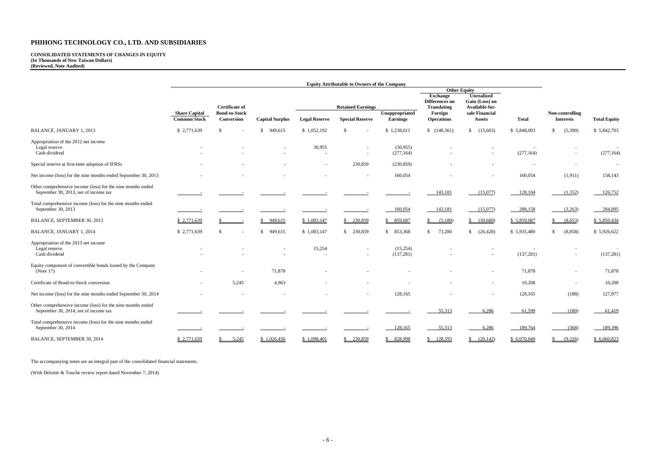#### **CONSOLIDATED STATEMENTS OF CHANGES IN EQUITY (In Thousands of New Taiwan Dollars) (Reviewed, Note Audited)**

|                                                                                                      | <b>Equity Attributable to Owners of the Company</b> |                                    |                         |                          |                        |                                                                              |                                  |                                 |              |                                     |                     |
|------------------------------------------------------------------------------------------------------|-----------------------------------------------------|------------------------------------|-------------------------|--------------------------|------------------------|------------------------------------------------------------------------------|----------------------------------|---------------------------------|--------------|-------------------------------------|---------------------|
|                                                                                                      |                                                     |                                    |                         |                          |                        |                                                                              |                                  | <b>Other Equity</b>             |              |                                     |                     |
|                                                                                                      |                                                     | <b>Certificate of</b>              |                         | <b>Retained Earnings</b> |                        | <b>Unrealized</b><br><b>Exchange</b><br>Differences on<br><b>Translating</b> | Gain (Loss) on<br>Available-for- |                                 |              |                                     |                     |
|                                                                                                      | <b>Share Capital</b><br><b>Common Stock</b>         | <b>Bond-to-Stock</b><br>Conversion | <b>Capital Surplus</b>  | <b>Legal Reserve</b>     | <b>Special Reserve</b> | Unappropriated<br><b>Earnings</b>                                            | Foreign<br><b>Operations</b>     | sale Financial<br><b>Assets</b> | <b>Total</b> | Non-controlling<br><b>Interests</b> | <b>Total Equity</b> |
| BALANCE, JANUARY 1, 2013                                                                             | \$2,771,639                                         | <sup>\$</sup>                      | 949,615<br><sup>S</sup> | \$1,052,192              | <sup>S</sup>           | \$1,238,611                                                                  | \$(148,361)                      | (15,603)<br><sup>\$</sup>       | \$5,848,093  | (5,390)<br>\$                       | \$5,842,703         |
| Appropriation of the 2012 net income<br>Legal reserve                                                |                                                     |                                    |                         | 30,955                   |                        | (30,955)                                                                     |                                  |                                 |              |                                     |                     |
| Cash dividend                                                                                        |                                                     |                                    |                         |                          |                        | (277, 164)                                                                   |                                  |                                 | (277, 164)   |                                     | (277, 164)          |
| Special reserve at first-time adoption of IFRSs                                                      |                                                     |                                    |                         | $\overline{\phantom{a}}$ | 230,859                | (230, 859)                                                                   |                                  |                                 |              |                                     | $\overline{a}$      |
| Net income (loss) for the nine months ended September 30, 2013                                       |                                                     |                                    |                         |                          |                        | 160,054                                                                      |                                  |                                 | 160,054      | (1, 911)                            | 158,143             |
| Other comprehensive income (loss) for the nine months ended<br>September 30, 2013, net of income tax |                                                     |                                    |                         |                          |                        |                                                                              | 143,181                          | (15,077)                        | 128,104      | (1,352)                             | 126,752             |
| Total comprehensive income (loss) for the nine months ended<br>September 30, 2013                    |                                                     |                                    |                         |                          |                        | 160,054                                                                      | 143,181                          | (15,077)                        | $-288,158$   | (3,263)                             | 284,895             |
| BALANCE, SEPTEMBER 30, 2013                                                                          | \$2,771,639                                         |                                    | \$949,615               | \$1,083,147              | \$230,859              | \$859,687                                                                    | \$ (5,180)                       | \$ (30,680)                     | \$5,859,087  | (8,653)                             | \$5,850,434         |
| BALANCE, JANUARY 1, 2014                                                                             | \$2,771,639                                         | <sup>\$</sup>                      | 949,615<br><sup>S</sup> | \$1,083,147              | \$230,859              | \$853,368                                                                    | 73,280<br>$\mathbb{S}^-$         | \$ (26, 428)                    | \$5,935,480  | (8, 858)<br>\$                      | \$5,926,622         |
| Appropriation of the 2013 net income<br>Legal reserve<br>Cash dividend                               |                                                     |                                    |                         | 15,254                   |                        | (15,254)<br>(137, 281)                                                       |                                  |                                 | (137, 281)   |                                     | (137, 281)          |
| Equity component of convertible bonds issued by the Company<br>(Note $17$ )                          |                                                     |                                    | 71,878                  |                          |                        |                                                                              |                                  |                                 | 71,878       |                                     | 71,878              |
| Certificate of Bond-to-Stock conversion                                                              | $\overline{\phantom{a}}$                            | 5,245                              | 4,963                   |                          |                        |                                                                              |                                  | $\overline{\phantom{a}}$        | 10,208       |                                     | 10,208              |
| Net income (loss) for the nine months ended September 30, 2014                                       |                                                     |                                    |                         |                          |                        | 128,165                                                                      |                                  |                                 | 128,165      | (188)                               | 127,977             |
| Other comprehensive income (loss) for the nine months ended<br>September 30, 2014, net of income tax |                                                     |                                    |                         |                          |                        |                                                                              | 55,313                           | 6,286                           | 61,599       | (180)                               | 61,419              |
| Total comprehensive income (loss) for the nine months ended<br>September 30, 2014                    |                                                     |                                    |                         |                          |                        | 128,165                                                                      | 55,313                           | 6,286                           | 189,764      | (368)                               | 189,396             |
| BALANCE, SEPTEMBER 30, 2014                                                                          | \$2,771,639                                         | 5,245                              | \$1,026,456             | \$1,098,401              | \$230,859              | \$828,998                                                                    | \$128,593                        | $\frac{\$}(20,142)$             | \$6,070,049  | (9,226)                             | \$6,060,823         |

The accompanying notes are an integral part of the consolidated financial statements.

(With Deloitte & Touche review report dated November 7, 2014)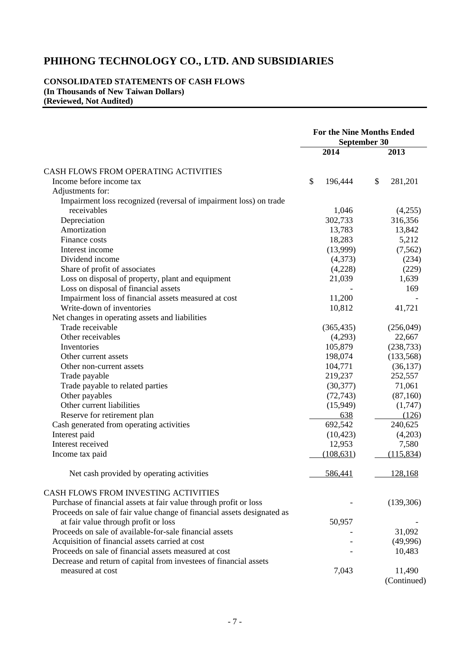#### **CONSOLIDATED STATEMENTS OF CASH FLOWS (In Thousands of New Taiwan Dollars) (Reviewed, Not Audited)**

|                                                                         | <b>For the Nine Months Ended</b><br>September 30 |    |             |  |
|-------------------------------------------------------------------------|--------------------------------------------------|----|-------------|--|
|                                                                         | 2014                                             |    | 2013        |  |
| CASH FLOWS FROM OPERATING ACTIVITIES                                    |                                                  |    |             |  |
| Income before income tax                                                | \$<br>196,444                                    | \$ | 281,201     |  |
| Adjustments for:                                                        |                                                  |    |             |  |
| Impairment loss recognized (reversal of impairment loss) on trade       |                                                  |    |             |  |
| receivables                                                             | 1,046                                            |    | (4,255)     |  |
| Depreciation                                                            | 302,733                                          |    | 316,356     |  |
| Amortization                                                            | 13,783                                           |    | 13,842      |  |
| Finance costs                                                           | 18,283                                           |    | 5,212       |  |
| Interest income                                                         | (13,999)                                         |    | (7, 562)    |  |
| Dividend income                                                         | (4,373)                                          |    | (234)       |  |
| Share of profit of associates                                           | (4,228)                                          |    | (229)       |  |
| Loss on disposal of property, plant and equipment                       | 21,039                                           |    | 1,639       |  |
| Loss on disposal of financial assets                                    |                                                  |    | 169         |  |
| Impairment loss of financial assets measured at cost                    | 11,200                                           |    |             |  |
| Write-down of inventories                                               | 10,812                                           |    | 41,721      |  |
| Net changes in operating assets and liabilities                         |                                                  |    |             |  |
| Trade receivable                                                        | (365, 435)                                       |    | (256,049)   |  |
| Other receivables                                                       | (4,293)                                          |    | 22,667      |  |
| Inventories                                                             | 105,879                                          |    | (238, 733)  |  |
| Other current assets                                                    | 198,074                                          |    | (133, 568)  |  |
| Other non-current assets                                                | 104,771                                          |    | (36, 137)   |  |
| Trade payable                                                           | 219,237                                          |    | 252,557     |  |
| Trade payable to related parties                                        | (30, 377)                                        |    | 71,061      |  |
| Other payables                                                          | (72, 743)                                        |    | (87,160)    |  |
| Other current liabilities                                               | (15,949)                                         |    | (1,747)     |  |
| Reserve for retirement plan                                             | 638                                              |    | (126)       |  |
| Cash generated from operating activities                                | 692,542                                          |    | 240,625     |  |
| Interest paid                                                           | (10, 423)                                        |    | (4,203)     |  |
| Interest received                                                       | 12,953                                           |    | 7,580       |  |
| Income tax paid                                                         | (108, 631)                                       |    | (115, 834)  |  |
| Net cash provided by operating activities                               | 586,441                                          |    | 128,168     |  |
| CASH FLOWS FROM INVESTING ACTIVITIES                                    |                                                  |    |             |  |
| Purchase of financial assets at fair value through profit or loss       |                                                  |    | (139,306)   |  |
| Proceeds on sale of fair value change of financial assets designated as |                                                  |    |             |  |
| at fair value through profit or loss                                    | 50,957                                           |    |             |  |
| Proceeds on sale of available-for-sale financial assets                 |                                                  |    | 31,092      |  |
| Acquisition of financial assets carried at cost                         |                                                  |    | (49,996)    |  |
| Proceeds on sale of financial assets measured at cost                   |                                                  |    | 10,483      |  |
| Decrease and return of capital from investees of financial assets       |                                                  |    |             |  |
| measured at cost                                                        | 7,043                                            |    | 11,490      |  |
|                                                                         |                                                  |    | (Continued) |  |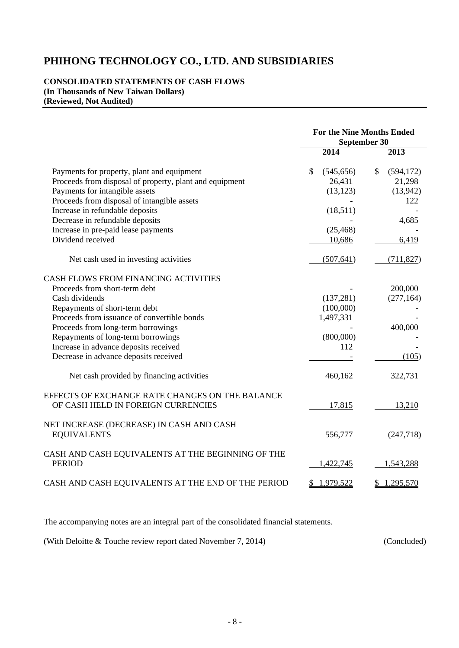### **CONSOLIDATED STATEMENTS OF CASH FLOWS (In Thousands of New Taiwan Dollars) (Reviewed, Not Audited)**

|                                                                                       | <b>For the Nine Months Ended</b><br>September 30 |                  |  |  |
|---------------------------------------------------------------------------------------|--------------------------------------------------|------------------|--|--|
|                                                                                       | 2014                                             | 2013             |  |  |
| Payments for property, plant and equipment                                            | \$<br>(545, 656)                                 | \$<br>(594, 172) |  |  |
| Proceeds from disposal of property, plant and equipment                               | 26,431                                           | 21,298           |  |  |
| Payments for intangible assets                                                        | (13, 123)                                        | (13,942)         |  |  |
| Proceeds from disposal of intangible assets                                           |                                                  | 122              |  |  |
| Increase in refundable deposits                                                       | (18,511)                                         |                  |  |  |
| Decrease in refundable deposits                                                       |                                                  | 4,685            |  |  |
| Increase in pre-paid lease payments                                                   | (25, 468)                                        |                  |  |  |
| Dividend received                                                                     | 10,686                                           | 6,419            |  |  |
| Net cash used in investing activities                                                 | (507, 641)                                       | (711, 827)       |  |  |
| CASH FLOWS FROM FINANCING ACTIVITIES                                                  |                                                  |                  |  |  |
| Proceeds from short-term debt                                                         |                                                  | 200,000          |  |  |
| Cash dividends                                                                        | (137, 281)                                       | (277, 164)       |  |  |
| Repayments of short-term debt                                                         | (100,000)                                        |                  |  |  |
| Proceeds from issuance of convertible bonds                                           | 1,497,331                                        |                  |  |  |
| Proceeds from long-term borrowings                                                    |                                                  | 400,000          |  |  |
| Repayments of long-term borrowings                                                    | (800,000)                                        |                  |  |  |
| Increase in advance deposits received                                                 | 112                                              |                  |  |  |
| Decrease in advance deposits received                                                 |                                                  | (105)            |  |  |
| Net cash provided by financing activities                                             | 460,162                                          | 322,731          |  |  |
| EFFECTS OF EXCHANGE RATE CHANGES ON THE BALANCE<br>OF CASH HELD IN FOREIGN CURRENCIES | 17,815                                           | 13,210           |  |  |
|                                                                                       |                                                  |                  |  |  |
| NET INCREASE (DECREASE) IN CASH AND CASH<br><b>EQUIVALENTS</b>                        | 556,777                                          | (247,718)        |  |  |
| CASH AND CASH EQUIVALENTS AT THE BEGINNING OF THE<br><b>PERIOD</b>                    | 1,422,745                                        | 1,543,288        |  |  |
| CASH AND CASH EQUIVALENTS AT THE END OF THE PERIOD                                    | 1,979,522<br>\$                                  | 1,295,570<br>\$  |  |  |

The accompanying notes are an integral part of the consolidated financial statements.

(With Deloitte & Touche review report dated November 7, 2014) (Concluded)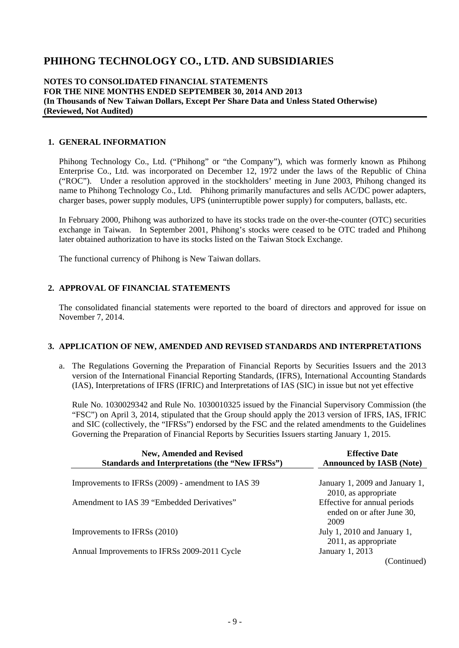### **NOTES TO CONSOLIDATED FINANCIAL STATEMENTS FOR THE NINE MONTHS ENDED SEPTEMBER 30, 2014 AND 2013 (In Thousands of New Taiwan Dollars, Except Per Share Data and Unless Stated Otherwise) (Reviewed, Not Audited)**

### **1. GENERAL INFORMATION**

Phihong Technology Co., Ltd. ("Phihong" or "the Company"), which was formerly known as Phihong Enterprise Co., Ltd. was incorporated on December 12, 1972 under the laws of the Republic of China ("ROC"). Under a resolution approved in the stockholders' meeting in June 2003, Phihong changed its name to Phihong Technology Co., Ltd. Phihong primarily manufactures and sells AC/DC power adapters, charger bases, power supply modules, UPS (uninterruptible power supply) for computers, ballasts, etc.

In February 2000, Phihong was authorized to have its stocks trade on the over-the-counter (OTC) securities exchange in Taiwan. In September 2001, Phihong's stocks were ceased to be OTC traded and Phihong later obtained authorization to have its stocks listed on the Taiwan Stock Exchange.

The functional currency of Phihong is New Taiwan dollars.

### **2. APPROVAL OF FINANCIAL STATEMENTS**

The consolidated financial statements were reported to the board of directors and approved for issue on November 7, 2014.

### **3. APPLICATION OF NEW, AMENDED AND REVISED STANDARDS AND INTERPRETATIONS**

a. The Regulations Governing the Preparation of Financial Reports by Securities Issuers and the 2013 version of the International Financial Reporting Standards, (IFRS), International Accounting Standards (IAS), Interpretations of IFRS (IFRIC) and Interpretations of IAS (SIC) in issue but not yet effective

Rule No. 1030029342 and Rule No. 1030010325 issued by the Financial Supervisory Commission (the "FSC") on April 3, 2014, stipulated that the Group should apply the 2013 version of IFRS, IAS, IFRIC and SIC (collectively, the "IFRSs") endorsed by the FSC and the related amendments to the Guidelines Governing the Preparation of Financial Reports by Securities Issuers starting January 1, 2015.

| <b>New, Amended and Revised</b><br>Standards and Interpretations (the "New IFRSs") | <b>Effective Date</b><br><b>Announced by IASB (Note)</b>           |  |  |  |
|------------------------------------------------------------------------------------|--------------------------------------------------------------------|--|--|--|
|                                                                                    |                                                                    |  |  |  |
| Improvements to IFRSs (2009) - amendment to IAS 39                                 | January 1, 2009 and January 1,<br>2010, as appropriate             |  |  |  |
| Amendment to IAS 39 "Embedded Derivatives"                                         | Effective for annual periods<br>ended on or after June 30,<br>2009 |  |  |  |
| Improvements to IFRSs (2010)                                                       | July 1, 2010 and January 1,<br>2011, as appropriate                |  |  |  |
| Annual Improvements to IFRSs 2009-2011 Cycle                                       | January 1, 2013                                                    |  |  |  |
|                                                                                    | (Continued)                                                        |  |  |  |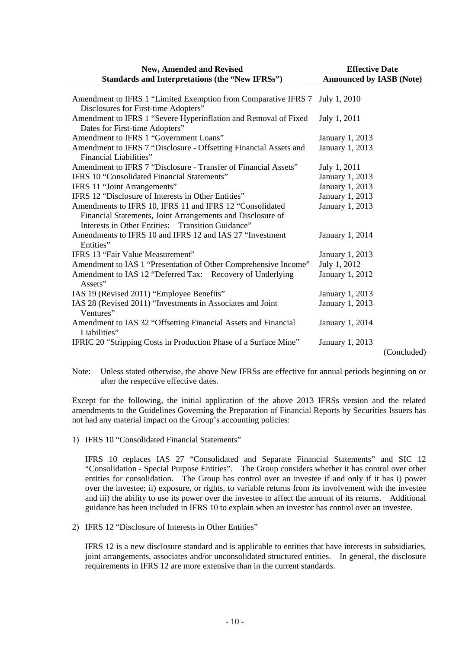| <b>New, Amended and Revised</b>                                   | <b>Effective Date</b>           |             |  |  |
|-------------------------------------------------------------------|---------------------------------|-------------|--|--|
| <b>Standards and Interpretations (the "New IFRSs")</b>            | <b>Announced by IASB (Note)</b> |             |  |  |
|                                                                   |                                 |             |  |  |
| Amendment to IFRS 1 "Limited Exemption from Comparative IFRS 7    | July 1, 2010                    |             |  |  |
| Disclosures for First-time Adopters"                              |                                 |             |  |  |
| Amendment to IFRS 1 "Severe Hyperinflation and Removal of Fixed   | July 1, 2011                    |             |  |  |
| Dates for First-time Adopters"                                    |                                 |             |  |  |
| Amendment to IFRS 1 "Government Loans"                            | January 1, 2013                 |             |  |  |
| Amendment to IFRS 7 "Disclosure - Offsetting Financial Assets and | January 1, 2013                 |             |  |  |
| Financial Liabilities"                                            |                                 |             |  |  |
| Amendment to IFRS 7 "Disclosure - Transfer of Financial Assets"   | July 1, 2011                    |             |  |  |
| IFRS 10 "Consolidated Financial Statements"                       | January 1, 2013                 |             |  |  |
| IFRS 11 "Joint Arrangements"                                      | January 1, 2013                 |             |  |  |
| IFRS 12 "Disclosure of Interests in Other Entities"               | January 1, 2013                 |             |  |  |
| Amendments to IFRS 10, IFRS 11 and IFRS 12 "Consolidated          | January 1, 2013                 |             |  |  |
| Financial Statements, Joint Arrangements and Disclosure of        |                                 |             |  |  |
| Interests in Other Entities: Transition Guidance"                 |                                 |             |  |  |
| Amendments to IFRS 10 and IFRS 12 and IAS 27 "Investment          | January 1, 2014                 |             |  |  |
| Entities"                                                         |                                 |             |  |  |
| IFRS 13 "Fair Value Measurement"                                  | January 1, 2013                 |             |  |  |
| Amendment to IAS 1 "Presentation of Other Comprehensive Income"   | July 1, 2012                    |             |  |  |
| Amendment to IAS 12 "Deferred Tax: Recovery of Underlying         | January 1, 2012                 |             |  |  |
| Assets"                                                           |                                 |             |  |  |
| IAS 19 (Revised 2011) "Employee Benefits"                         | January 1, 2013                 |             |  |  |
| IAS 28 (Revised 2011) "Investments in Associates and Joint        | January 1, 2013                 |             |  |  |
| Ventures"                                                         |                                 |             |  |  |
| Amendment to IAS 32 "Offsetting Financial Assets and Financial    | January 1, 2014                 |             |  |  |
| Liabilities"                                                      |                                 |             |  |  |
| IFRIC 20 "Stripping Costs in Production Phase of a Surface Mine"  | January 1, 2013                 |             |  |  |
|                                                                   |                                 | (Concluded) |  |  |

Note: Unless stated otherwise, the above New IFRSs are effective for annual periods beginning on or after the respective effective dates.

Except for the following, the initial application of the above 2013 IFRSs version and the related amendments to the Guidelines Governing the Preparation of Financial Reports by Securities Issuers has not had any material impact on the Group's accounting policies:

1) IFRS 10 "Consolidated Financial Statements"

IFRS 10 replaces IAS 27 "Consolidated and Separate Financial Statements" and SIC 12 "Consolidation - Special Purpose Entities". The Group considers whether it has control over other entities for consolidation. The Group has control over an investee if and only if it has i) power over the investee; ii) exposure, or rights, to variable returns from its involvement with the investee and iii) the ability to use its power over the investee to affect the amount of its returns. Additional guidance has been included in IFRS 10 to explain when an investor has control over an investee.

2) IFRS 12 "Disclosure of Interests in Other Entities"

IFRS 12 is a new disclosure standard and is applicable to entities that have interests in subsidiaries, joint arrangements, associates and/or unconsolidated structured entities. In general, the disclosure requirements in IFRS 12 are more extensive than in the current standards.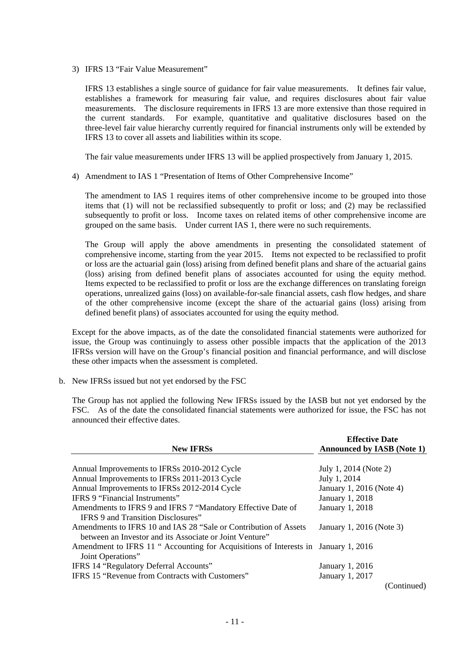3) IFRS 13 "Fair Value Measurement"

IFRS 13 establishes a single source of guidance for fair value measurements. It defines fair value, establishes a framework for measuring fair value, and requires disclosures about fair value measurements. The disclosure requirements in IFRS 13 are more extensive than those required in the current standards. For example, quantitative and qualitative disclosures based on the three-level fair value hierarchy currently required for financial instruments only will be extended by IFRS 13 to cover all assets and liabilities within its scope.

The fair value measurements under IFRS 13 will be applied prospectively from January 1, 2015.

4) Amendment to IAS 1 "Presentation of Items of Other Comprehensive Income"

The amendment to IAS 1 requires items of other comprehensive income to be grouped into those items that (1) will not be reclassified subsequently to profit or loss; and (2) may be reclassified subsequently to profit or loss. Income taxes on related items of other comprehensive income are grouped on the same basis. Under current IAS 1, there were no such requirements.

The Group will apply the above amendments in presenting the consolidated statement of comprehensive income, starting from the year 2015. Items not expected to be reclassified to profit or loss are the actuarial gain (loss) arising from defined benefit plans and share of the actuarial gains (loss) arising from defined benefit plans of associates accounted for using the equity method. Items expected to be reclassified to profit or loss are the exchange differences on translating foreign operations, unrealized gains (loss) on available-for-sale financial assets, cash flow hedges, and share of the other comprehensive income (except the share of the actuarial gains (loss) arising from defined benefit plans) of associates accounted for using the equity method.

Except for the above impacts, as of the date the consolidated financial statements were authorized for issue, the Group was continuingly to assess other possible impacts that the application of the 2013 IFRSs version will have on the Group's financial position and financial performance, and will disclose these other impacts when the assessment is completed.

b. New IFRSs issued but not yet endorsed by the FSC

The Group has not applied the following New IFRSs issued by the IASB but not yet endorsed by the FSC. As of the date the consolidated financial statements were authorized for issue, the FSC has not announced their effective dates.

| <b>New IFRSs</b>                                                                                          | <b>Effective Date</b><br><b>Announced by IASB (Note 1)</b> |  |  |  |
|-----------------------------------------------------------------------------------------------------------|------------------------------------------------------------|--|--|--|
|                                                                                                           |                                                            |  |  |  |
| Annual Improvements to IFRSs 2010-2012 Cycle                                                              | July 1, 2014 (Note 2)                                      |  |  |  |
| Annual Improvements to IFRSs 2011-2013 Cycle                                                              | July 1, 2014                                               |  |  |  |
| Annual Improvements to IFRSs 2012-2014 Cycle                                                              | January 1, 2016 (Note 4)                                   |  |  |  |
| IFRS 9 "Financial Instruments"                                                                            | January 1, 2018                                            |  |  |  |
| Amendments to IFRS 9 and IFRS 7 "Mandatory Effective Date of<br><b>IFRS 9 and Transition Disclosures"</b> | January 1, 2018                                            |  |  |  |
| Amendments to IFRS 10 and IAS 28 "Sale or Contribution of Assets                                          | January 1, 2016 (Note 3)                                   |  |  |  |
| between an Investor and its Associate or Joint Venture"                                                   |                                                            |  |  |  |
| Amendment to IFRS 11 " Accounting for Acquisitions of Interests in January 1, 2016<br>Joint Operations"   |                                                            |  |  |  |
| IFRS 14 "Regulatory Deferral Accounts"                                                                    | January 1, 2016                                            |  |  |  |
| <b>IFRS 15 "Revenue from Contracts with Customers"</b>                                                    | January 1, 2017                                            |  |  |  |
|                                                                                                           | (Continued)                                                |  |  |  |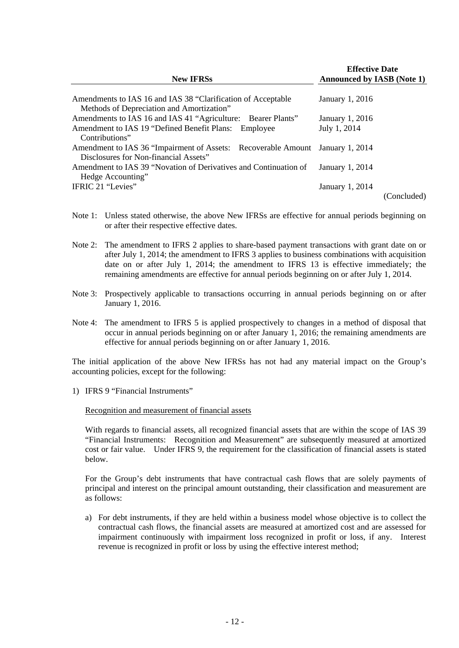| <b>New IFRSs</b>                                                                                                     | <b>Effective Date</b><br><b>Announced by IASB (Note 1)</b> |  |  |  |
|----------------------------------------------------------------------------------------------------------------------|------------------------------------------------------------|--|--|--|
| Amendments to IAS 16 and IAS 38 "Clarification of Acceptable<br>Methods of Depreciation and Amortization"            | January 1, 2016                                            |  |  |  |
| Amendments to IAS 16 and IAS 41 "Agriculture: Bearer Plants"<br>Amendment to IAS 19 "Defined Benefit Plans: Employee | January 1, 2016<br>July 1, 2014                            |  |  |  |
| Contributions"<br>Amendment to IAS 36 "Impairment of Assets: Recoverable Amount January 1, 2014                      |                                                            |  |  |  |
| Disclosures for Non-financial Assets"                                                                                | January 1, 2014                                            |  |  |  |
| Amendment to IAS 39 "Novation of Derivatives and Continuation of<br>Hedge Accounting"                                |                                                            |  |  |  |
| IFRIC 21 "Levies"                                                                                                    | January 1, 2014<br>(Concluded)                             |  |  |  |

- Note 1: Unless stated otherwise, the above New IFRSs are effective for annual periods beginning on or after their respective effective dates.
- Note 2: The amendment to IFRS 2 applies to share-based payment transactions with grant date on or after July 1, 2014; the amendment to IFRS 3 applies to business combinations with acquisition date on or after July 1, 2014; the amendment to IFRS 13 is effective immediately; the remaining amendments are effective for annual periods beginning on or after July 1, 2014.
- Note 3: Prospectively applicable to transactions occurring in annual periods beginning on or after January 1, 2016.
- Note 4: The amendment to IFRS 5 is applied prospectively to changes in a method of disposal that occur in annual periods beginning on or after January 1, 2016; the remaining amendments are effective for annual periods beginning on or after January 1, 2016.

The initial application of the above New IFRSs has not had any material impact on the Group's accounting policies, except for the following:

1) IFRS 9 "Financial Instruments"

#### Recognition and measurement of financial assets

With regards to financial assets, all recognized financial assets that are within the scope of IAS 39 "Financial Instruments: Recognition and Measurement" are subsequently measured at amortized cost or fair value. Under IFRS 9, the requirement for the classification of financial assets is stated below.

For the Group's debt instruments that have contractual cash flows that are solely payments of principal and interest on the principal amount outstanding, their classification and measurement are as follows:

a) For debt instruments, if they are held within a business model whose objective is to collect the contractual cash flows, the financial assets are measured at amortized cost and are assessed for impairment continuously with impairment loss recognized in profit or loss, if any. Interest revenue is recognized in profit or loss by using the effective interest method;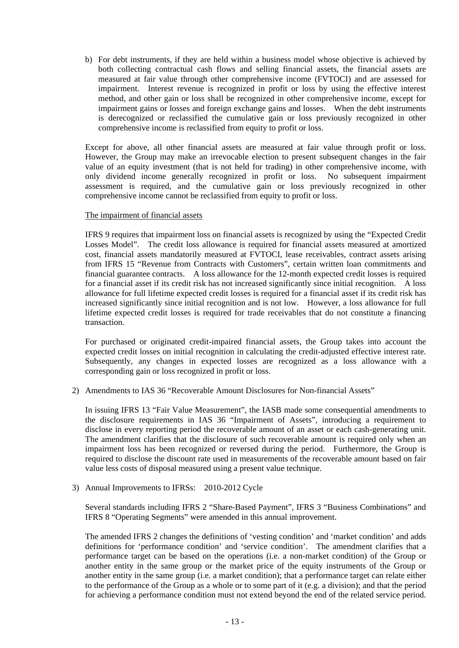b) For debt instruments, if they are held within a business model whose objective is achieved by both collecting contractual cash flows and selling financial assets, the financial assets are measured at fair value through other comprehensive income (FVTOCI) and are assessed for impairment. Interest revenue is recognized in profit or loss by using the effective interest method, and other gain or loss shall be recognized in other comprehensive income, except for impairment gains or losses and foreign exchange gains and losses. When the debt instruments is derecognized or reclassified the cumulative gain or loss previously recognized in other comprehensive income is reclassified from equity to profit or loss.

Except for above, all other financial assets are measured at fair value through profit or loss. However, the Group may make an irrevocable election to present subsequent changes in the fair value of an equity investment (that is not held for trading) in other comprehensive income, with only dividend income generally recognized in profit or loss. No subsequent impairment assessment is required, and the cumulative gain or loss previously recognized in other comprehensive income cannot be reclassified from equity to profit or loss.

### The impairment of financial assets

IFRS 9 requires that impairment loss on financial assets is recognized by using the "Expected Credit Losses Model". The credit loss allowance is required for financial assets measured at amortized cost, financial assets mandatorily measured at FVTOCI, lease receivables, contract assets arising from IFRS 15 "Revenue from Contracts with Customers", certain written loan commitments and financial guarantee contracts. A loss allowance for the 12-month expected credit losses is required for a financial asset if its credit risk has not increased significantly since initial recognition. A loss allowance for full lifetime expected credit losses is required for a financial asset if its credit risk has increased significantly since initial recognition and is not low. However, a loss allowance for full lifetime expected credit losses is required for trade receivables that do not constitute a financing transaction.

For purchased or originated credit-impaired financial assets, the Group takes into account the expected credit losses on initial recognition in calculating the credit-adjusted effective interest rate. Subsequently, any changes in expected losses are recognized as a loss allowance with a corresponding gain or loss recognized in profit or loss.

2) Amendments to IAS 36 "Recoverable Amount Disclosures for Non-financial Assets"

In issuing IFRS 13 "Fair Value Measurement", the IASB made some consequential amendments to the disclosure requirements in IAS 36 "Impairment of Assets", introducing a requirement to disclose in every reporting period the recoverable amount of an asset or each cash-generating unit. The amendment clarifies that the disclosure of such recoverable amount is required only when an impairment loss has been recognized or reversed during the period. Furthermore, the Group is required to disclose the discount rate used in measurements of the recoverable amount based on fair value less costs of disposal measured using a present value technique.

3) Annual Improvements to IFRSs: 2010-2012 Cycle

Several standards including IFRS 2 "Share-Based Payment", IFRS 3 "Business Combinations" and IFRS 8 "Operating Segments" were amended in this annual improvement.

The amended IFRS 2 changes the definitions of 'vesting condition' and 'market condition' and adds definitions for 'performance condition' and 'service condition'. The amendment clarifies that a performance target can be based on the operations (i.e. a non-market condition) of the Group or another entity in the same group or the market price of the equity instruments of the Group or another entity in the same group (i.e. a market condition); that a performance target can relate either to the performance of the Group as a whole or to some part of it (e.g. a division); and that the period for achieving a performance condition must not extend beyond the end of the related service period.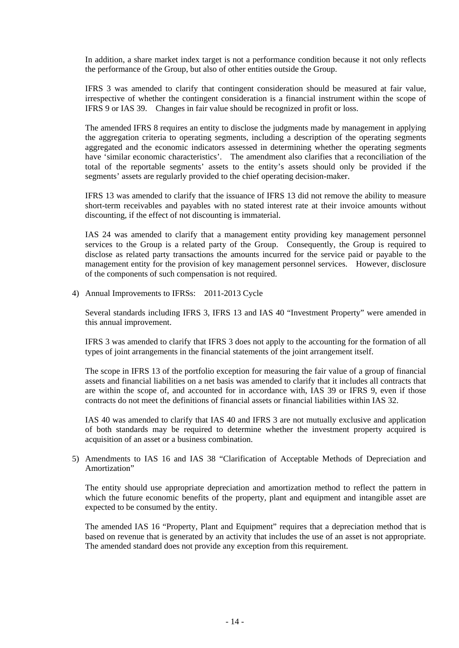In addition, a share market index target is not a performance condition because it not only reflects the performance of the Group, but also of other entities outside the Group.

IFRS 3 was amended to clarify that contingent consideration should be measured at fair value, irrespective of whether the contingent consideration is a financial instrument within the scope of IFRS 9 or IAS 39. Changes in fair value should be recognized in profit or loss.

The amended IFRS 8 requires an entity to disclose the judgments made by management in applying the aggregation criteria to operating segments, including a description of the operating segments aggregated and the economic indicators assessed in determining whether the operating segments have 'similar economic characteristics'. The amendment also clarifies that a reconciliation of the total of the reportable segments' assets to the entity's assets should only be provided if the segments' assets are regularly provided to the chief operating decision-maker.

IFRS 13 was amended to clarify that the issuance of IFRS 13 did not remove the ability to measure short-term receivables and payables with no stated interest rate at their invoice amounts without discounting, if the effect of not discounting is immaterial.

IAS 24 was amended to clarify that a management entity providing key management personnel services to the Group is a related party of the Group. Consequently, the Group is required to disclose as related party transactions the amounts incurred for the service paid or payable to the management entity for the provision of key management personnel services. However, disclosure of the components of such compensation is not required.

4) Annual Improvements to IFRSs: 2011-2013 Cycle

Several standards including IFRS 3, IFRS 13 and IAS 40 "Investment Property" were amended in this annual improvement.

IFRS 3 was amended to clarify that IFRS 3 does not apply to the accounting for the formation of all types of joint arrangements in the financial statements of the joint arrangement itself.

The scope in IFRS 13 of the portfolio exception for measuring the fair value of a group of financial assets and financial liabilities on a net basis was amended to clarify that it includes all contracts that are within the scope of, and accounted for in accordance with, IAS 39 or IFRS 9, even if those contracts do not meet the definitions of financial assets or financial liabilities within IAS 32.

IAS 40 was amended to clarify that IAS 40 and IFRS 3 are not mutually exclusive and application of both standards may be required to determine whether the investment property acquired is acquisition of an asset or a business combination.

5) Amendments to IAS 16 and IAS 38 "Clarification of Acceptable Methods of Depreciation and Amortization"

The entity should use appropriate depreciation and amortization method to reflect the pattern in which the future economic benefits of the property, plant and equipment and intangible asset are expected to be consumed by the entity.

The amended IAS 16 "Property, Plant and Equipment" requires that a depreciation method that is based on revenue that is generated by an activity that includes the use of an asset is not appropriate. The amended standard does not provide any exception from this requirement.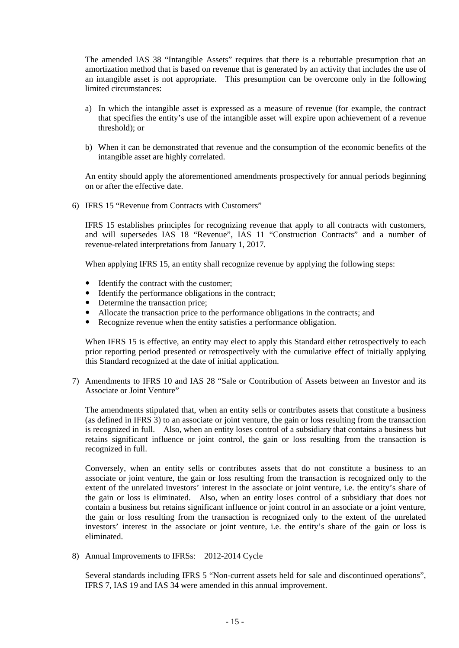The amended IAS 38 "Intangible Assets" requires that there is a rebuttable presumption that an amortization method that is based on revenue that is generated by an activity that includes the use of an intangible asset is not appropriate. This presumption can be overcome only in the following limited circumstances:

- a) In which the intangible asset is expressed as a measure of revenue (for example, the contract that specifies the entity's use of the intangible asset will expire upon achievement of a revenue threshold); or
- b) When it can be demonstrated that revenue and the consumption of the economic benefits of the intangible asset are highly correlated.

An entity should apply the aforementioned amendments prospectively for annual periods beginning on or after the effective date.

6) IFRS 15 "Revenue from Contracts with Customers"

IFRS 15 establishes principles for recognizing revenue that apply to all contracts with customers, and will supersedes IAS 18 "Revenue", IAS 11 "Construction Contracts" and a number of revenue-related interpretations from January 1, 2017.

When applying IFRS 15, an entity shall recognize revenue by applying the following steps:

- Identify the contract with the customer;
- $\bullet$  Identify the performance obligations in the contract;
- Determine the transaction price;
- Allocate the transaction price to the performance obligations in the contracts; and
- Recognize revenue when the entity satisfies a performance obligation.

When IFRS 15 is effective, an entity may elect to apply this Standard either retrospectively to each prior reporting period presented or retrospectively with the cumulative effect of initially applying this Standard recognized at the date of initial application.

7) Amendments to IFRS 10 and IAS 28 "Sale or Contribution of Assets between an Investor and its Associate or Joint Venture"

The amendments stipulated that, when an entity sells or contributes assets that constitute a business (as defined in IFRS 3) to an associate or joint venture, the gain or loss resulting from the transaction is recognized in full. Also, when an entity loses control of a subsidiary that contains a business but retains significant influence or joint control, the gain or loss resulting from the transaction is recognized in full.

Conversely, when an entity sells or contributes assets that do not constitute a business to an associate or joint venture, the gain or loss resulting from the transaction is recognized only to the extent of the unrelated investors' interest in the associate or joint venture, i.e. the entity's share of the gain or loss is eliminated. Also, when an entity loses control of a subsidiary that does not contain a business but retains significant influence or joint control in an associate or a joint venture, the gain or loss resulting from the transaction is recognized only to the extent of the unrelated investors' interest in the associate or joint venture, i.e. the entity's share of the gain or loss is eliminated.

8) Annual Improvements to IFRSs: 2012-2014 Cycle

Several standards including IFRS 5 "Non-current assets held for sale and discontinued operations", IFRS 7, IAS 19 and IAS 34 were amended in this annual improvement.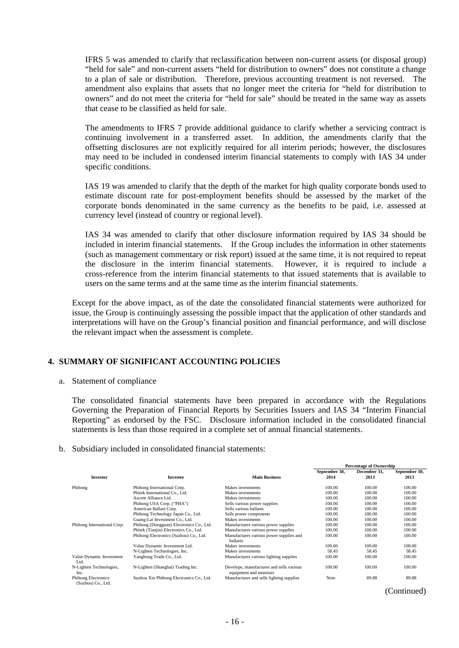IFRS 5 was amended to clarify that reclassification between non-current assets (or disposal group) "held for sale" and non-current assets "held for distribution to owners" does not constitute a change to a plan of sale or distribution. Therefore, previous accounting treatment is not reversed. The amendment also explains that assets that no longer meet the criteria for "held for distribution to owners" and do not meet the criteria for "held for sale" should be treated in the same way as assets that cease to be classified as held for sale.

The amendments to IFRS 7 provide additional guidance to clarify whether a servicing contract is continuing involvement in a transferred asset. In addition, the amendments clarify that the offsetting disclosures are not explicitly required for all interim periods; however, the disclosures may need to be included in condensed interim financial statements to comply with IAS 34 under specific conditions.

IAS 19 was amended to clarify that the depth of the market for high quality corporate bonds used to estimate discount rate for post-employment benefits should be assessed by the market of the corporate bonds denominated in the same currency as the benefits to be paid, i.e. assessed at currency level (instead of country or regional level).

IAS 34 was amended to clarify that other disclosure information required by IAS 34 should be included in interim financial statements. If the Group includes the information in other statements (such as management commentary or risk report) issued at the same time, it is not required to repeat the disclosure in the interim financial statements. However, it is required to include a cross-reference from the interim financial statements to that issued statements that is available to users on the same terms and at the same time as the interim financial statements.

Except for the above impact, as of the date the consolidated financial statements were authorized for issue, the Group is continuingly assessing the possible impact that the application of other standards and interpretations will have on the Group's financial position and financial performance, and will disclose the relevant impact when the assessment is complete.

### **4. SUMMARY OF SIGNIFICANT ACCOUNTING POLICIES**

a. Statement of compliance

The consolidated financial statements have been prepared in accordance with the Regulations Governing the Preparation of Financial Reports by Securities Issuers and IAS 34 "Interim Financial Reporting" as endorsed by the FSC. Disclosure information included in the consolidated financial statements is less than those required in a complete set of annual financial statements.

b. Subsidiary included in consolidated financial statements:

|                                                  |                                          |                                                                    | <b>Percentage of Ownership</b> |              |               |  |
|--------------------------------------------------|------------------------------------------|--------------------------------------------------------------------|--------------------------------|--------------|---------------|--|
|                                                  |                                          |                                                                    | September 30,                  | December 31. | September 30, |  |
| <b>Investor</b>                                  | <b>Investee</b>                          | <b>Main Business</b>                                               | 2014                           | 2013         | 2013          |  |
| Phihong                                          | Phihong International Corp.              | Makes investments                                                  | 100.00                         | 100.00       | 100.00        |  |
|                                                  | Phitek International Co., Ltd.           | Makes investments                                                  | 100.00                         | 100.00       | 100.00        |  |
|                                                  | Ascent Alliance Ltd.                     | Makes investments                                                  | 100.00                         | 100.00       | 100.00        |  |
|                                                  | Phihong USA Corp. ("PHA")                | Sells various power supplies                                       | 100.00                         | 100.00       | 100.00        |  |
|                                                  | American Ballast Corp.                   | Sells various ballasts                                             | 100.00                         | 100.00       | 100.00        |  |
|                                                  | Phihong Technology Japan Co., Ltd.       | Sells power components                                             | 100.00                         | 100.00       | 100.00        |  |
|                                                  | Guang-Lai Investment Co., Ltd.           | Makes investments                                                  | 100.00                         | 100.00       | 100.00        |  |
| Phihong International Corp.                      | Phihong (Dongguan) Electronics Co., Ltd. | Manufactures various power supplies                                | 100.00                         | 100.00       | 100.00        |  |
|                                                  | Phitek (Tianjin) Electronics Co., Ltd.   | Manufactures various power supplies                                | 100.00                         | 100.00       | 100.00        |  |
|                                                  | Phihong Electronics (Suzhou) Co., Ltd.   | Manufactures various power supplies and<br>ballasts                | 100.00                         | 100.00       | 100.00        |  |
|                                                  | Value Dynamic Investment Ltd.            | Makes investments                                                  | 100.00                         | 100.00       | 100.00        |  |
|                                                  | N-Lighten Technologies, Inc.             | Makes investments                                                  | 58.45                          | 58.45        | 58.45         |  |
| Value Dynamic Investment<br>Ltd.                 | Yanghong Trade Co., Ltd.                 | Manufactures various lighting supplies                             | 100.00                         | 100.00       | 100.00        |  |
| N-Lighten Technologies,<br>Inc.                  | N-Lighten (Shanghai) Trading Inc.        | Develops, manufactures and sells various<br>equipment and monitors | 100.00                         | 100.00       | 100.00        |  |
| <b>Phihong Electronics</b><br>(Suzhou) Co., Ltd. | Suzhou Xin Phihong Electronics Co., Ltd. | Manufactures and sells lighting supplies                           | Note                           | 89.88        | 89.88         |  |

(Continued)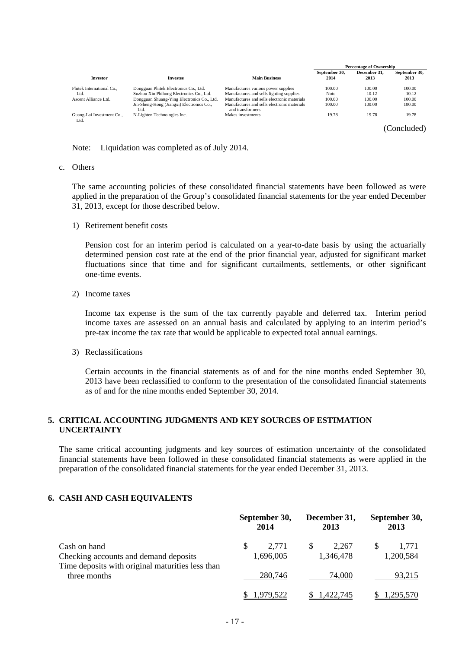|                                   |                                                   |                                                                 | <b>Percentage of Ownership</b> |              |               |  |
|-----------------------------------|---------------------------------------------------|-----------------------------------------------------------------|--------------------------------|--------------|---------------|--|
|                                   |                                                   |                                                                 | September 30,                  | December 31. | September 30, |  |
| <b>Investor</b>                   | Investee                                          | <b>Main Business</b>                                            | 2014                           | 2013         | 2013          |  |
| Phitek International Co           | Dongguan Phitek Electronics Co., Ltd.             | Manufactures various power supplies                             | 100.00                         | 100.00       | 100.00        |  |
| Ltd.                              | Suzhou Xin Phihong Electronics Co., Ltd.          | Manufactures and sells lighting supplies                        | Note                           | 10.12        | 10.12         |  |
| Ascent Alliance Ltd.              | Dongguan Shuang-Ying Electronics Co., Ltd.        | Manufactures and sells electronic materials                     | 100.00                         | 100.00       | 100.00        |  |
|                                   | Jin-Sheng-Hong (Jiangxi) Electronics Co.,<br>Ltd. | Manufactures and sells electronic materials<br>and transformers | 100.00                         | 100.00       | 100.00        |  |
| Guang-Lai Investment Co.,<br>Ltd. | N-Lighten Technologies Inc.                       | Makes investments                                               | 19.78                          | 19.78        | 19.78         |  |

(Concluded)

Note: Liquidation was completed as of July 2014.

#### c. Others

The same accounting policies of these consolidated financial statements have been followed as were applied in the preparation of the Group's consolidated financial statements for the year ended December 31, 2013, except for those described below.

1) Retirement benefit costs

Pension cost for an interim period is calculated on a year-to-date basis by using the actuarially determined pension cost rate at the end of the prior financial year, adjusted for significant market fluctuations since that time and for significant curtailments, settlements, or other significant one-time events.

2) Income taxes

Income tax expense is the sum of the tax currently payable and deferred tax. Interim period income taxes are assessed on an annual basis and calculated by applying to an interim period's pre-tax income the tax rate that would be applicable to expected total annual earnings.

3) Reclassifications

Certain accounts in the financial statements as of and for the nine months ended September 30, 2013 have been reclassified to conform to the presentation of the consolidated financial statements as of and for the nine months ended September 30, 2014.

### **5. CRITICAL ACCOUNTING JUDGMENTS AND KEY SOURCES OF ESTIMATION UNCERTAINTY**

The same critical accounting judgments and key sources of estimation uncertainty of the consolidated financial statements have been followed in these consolidated financial statements as were applied in the preparation of the consolidated financial statements for the year ended December 31, 2013.

### **6. CASH AND CASH EQUIVALENTS**

|                                                                  | September 30,<br>2014    | December 31,<br>2013 | September 30,<br>2013 |  |
|------------------------------------------------------------------|--------------------------|----------------------|-----------------------|--|
| Cash on hand<br>Checking accounts and demand deposits            | \$<br>2.771<br>1,696,005 | 2.267<br>1,346,478   | 1.771<br>1,200,584    |  |
| Time deposits with original maturities less than<br>three months | 280,746                  | 74,000               | 93,215                |  |
|                                                                  | 1,979,522                | 1.422.745            | 1,295,570             |  |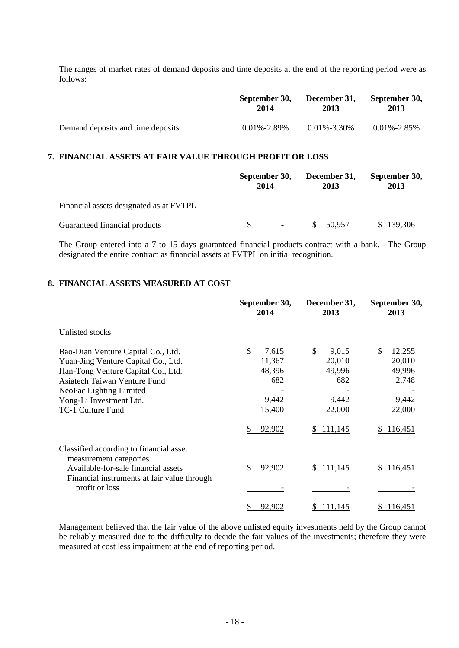The ranges of market rates of demand deposits and time deposits at the end of the reporting period were as follows:

|                                   | September 30,     | December 31,      | September 30,     |
|-----------------------------------|-------------------|-------------------|-------------------|
|                                   | 2014              | 2013              | 2013              |
| Demand deposits and time deposits | $0.01\% - 2.89\%$ | $0.01\% - 3.30\%$ | $0.01\% - 2.85\%$ |

### **7. FINANCIAL ASSETS AT FAIR VALUE THROUGH PROFIT OR LOSS**

|                                         | September 30,<br>2014 | December 31,<br>2013 | September 30,<br>2013 |  |
|-----------------------------------------|-----------------------|----------------------|-----------------------|--|
| Financial assets designated as at FVTPL |                       |                      |                       |  |
| Guaranteed financial products           |                       | 50,957               | 139,306               |  |

The Group entered into a 7 to 15 days guaranteed financial products contract with a bank. The Group designated the entire contract as financial assets at FVTPL on initial recognition.

### **8. FINANCIAL ASSETS MEASURED AT COST**

|                                                                                                                                                                                                                            | September 30,<br>2014                                                          | December 31,<br>2013                                                   | September 30,<br>2013                                                     |  |
|----------------------------------------------------------------------------------------------------------------------------------------------------------------------------------------------------------------------------|--------------------------------------------------------------------------------|------------------------------------------------------------------------|---------------------------------------------------------------------------|--|
| Unlisted stocks                                                                                                                                                                                                            |                                                                                |                                                                        |                                                                           |  |
| Bao-Dian Venture Capital Co., Ltd.<br>Yuan-Jing Venture Capital Co., Ltd.<br>Han-Tong Venture Capital Co., Ltd.<br>Asiatech Taiwan Venture Fund<br>NeoPac Lighting Limited<br>Yong-Li Investment Ltd.<br>TC-1 Culture Fund | $\mathcal{S}$<br>7,615<br>11,367<br>48,396<br>682<br>9,442<br>15,400<br>92,902 | \$<br>9,015<br>20,010<br>49,996<br>682<br>9,442<br>22,000<br>\$111,145 | \$<br>12,255<br>20,010<br>49,996<br>2,748<br>9,442<br>22,000<br>\$116,451 |  |
| Classified according to financial asset<br>measurement categories<br>Available-for-sale financial assets<br>Financial instruments at fair value through<br>profit or loss                                                  | \$<br>92,902<br>92,902<br>\$                                                   | \$111,145<br>111,145<br>\$                                             | \$116,451<br>116,451<br>\$                                                |  |

Management believed that the fair value of the above unlisted equity investments held by the Group cannot be reliably measured due to the difficulty to decide the fair values of the investments; therefore they were measured at cost less impairment at the end of reporting period.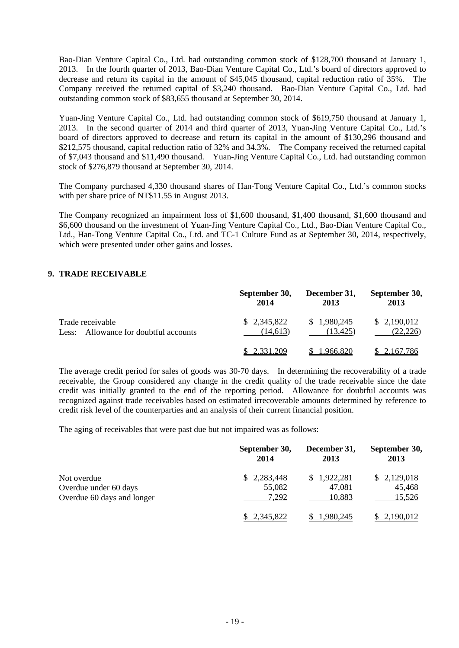Bao-Dian Venture Capital Co., Ltd. had outstanding common stock of \$128,700 thousand at January 1, 2013. In the fourth quarter of 2013, Bao-Dian Venture Capital Co., Ltd.'s board of directors approved to decrease and return its capital in the amount of \$45,045 thousand, capital reduction ratio of 35%. The Company received the returned capital of \$3,240 thousand. Bao-Dian Venture Capital Co., Ltd. had outstanding common stock of \$83,655 thousand at September 30, 2014.

Yuan-Jing Venture Capital Co., Ltd. had outstanding common stock of \$619,750 thousand at January 1, 2013. In the second quarter of 2014 and third quarter of 2013, Yuan-Jing Venture Capital Co., Ltd.'s board of directors approved to decrease and return its capital in the amount of \$130,296 thousand and \$212,575 thousand, capital reduction ratio of 32% and 34.3%. The Company received the returned capital of \$7,043 thousand and \$11,490 thousand. Yuan-Jing Venture Capital Co., Ltd. had outstanding common stock of \$276,879 thousand at September 30, 2014.

The Company purchased 4,330 thousand shares of Han-Tong Venture Capital Co., Ltd.'s common stocks with per share price of NT\$11.55 in August 2013.

The Company recognized an impairment loss of \$1,600 thousand, \$1,400 thousand, \$1,600 thousand and \$6,600 thousand on the investment of Yuan-Jing Venture Capital Co., Ltd., Bao-Dian Venture Capital Co., Ltd., Han-Tong Venture Capital Co., Ltd. and TC-1 Culture Fund as at September 30, 2014, respectively, which were presented under other gains and losses.

### **9. TRADE RECEIVABLE**

|                                       | September 30, | December 31, | September 30, |
|---------------------------------------|---------------|--------------|---------------|
|                                       | 2014          | 2013         | 2013          |
| Trade receivable                      | \$2,345,822   | \$1,980,245  | \$2,190,012   |
| Less: Allowance for doubtful accounts | (14.613)      | (13.425)     | (22, 226)     |
|                                       | 2,331,209     | 1,966,820    | \$2,167,786   |

The average credit period for sales of goods was 30-70 days. In determining the recoverability of a trade receivable, the Group considered any change in the credit quality of the trade receivable since the date credit was initially granted to the end of the reporting period. Allowance for doubtful accounts was recognized against trade receivables based on estimated irrecoverable amounts determined by reference to credit risk level of the counterparties and an analysis of their current financial position.

The aging of receivables that were past due but not impaired was as follows:

|                            | September 30, | December 31, | September 30, |
|----------------------------|---------------|--------------|---------------|
|                            | 2014          | 2013         | 2013          |
| Not overdue                | \$2,283,448   | \$1,922,281  | \$2,129,018   |
| Overdue under 60 days      | 55,082        | 47,081       | 45,468        |
| Overdue 60 days and longer | 7.292         | 10,883       | 15,526        |
|                            | \$2,345,822   | 1,980,245    | 2,190,012     |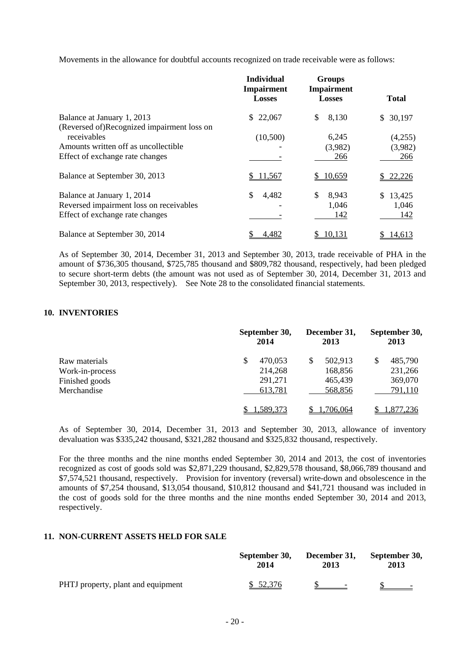Movements in the allowance for doubtful accounts recognized on trade receivable were as follows:

|                                                                                                                                      | <b>Individual</b><br><b>Impairment</b><br><b>Losses</b> | <b>Groups</b><br>Impairment<br><b>Losses</b> | <b>Total</b>                  |
|--------------------------------------------------------------------------------------------------------------------------------------|---------------------------------------------------------|----------------------------------------------|-------------------------------|
| Balance at January 1, 2013                                                                                                           | 22,067<br>S.                                            | 8,130<br>\$                                  | \$30,197                      |
| (Reversed of)Recognized impairment loss on<br>receivables<br>Amounts written off as uncollectible<br>Effect of exchange rate changes | (10,500)                                                | 6,245<br>(3,982)<br>266                      | (4,255)<br>(3,982)<br>266     |
| Balance at September 30, 2013                                                                                                        | \$11,567                                                | \$10,659                                     | 22,226                        |
| Balance at January 1, 2014<br>Reversed impairment loss on receivables<br>Effect of exchange rate changes                             | \$<br>4,482                                             | \$<br>8,943<br>1,046<br>142                  | \$.<br>13,425<br>1,046<br>142 |
| Balance at September 30, 2014                                                                                                        | 4,482                                                   | 10,131                                       | 14,613                        |

As of September 30, 2014, December 31, 2013 and September 30, 2013, trade receivable of PHA in the amount of \$736,305 thousand, \$725,785 thousand and \$809,782 thousand, respectively, had been pledged to secure short-term debts (the amount was not used as of September 30, 2014, December 31, 2013 and September 30, 2013, respectively). See Note 28 to the consolidated financial statements.

### **10. INVENTORIES**

|                 |    | September 30,<br>2014 |   | December 31,<br>2013 |  | September 30,<br>2013 |  |
|-----------------|----|-----------------------|---|----------------------|--|-----------------------|--|
| Raw materials   | \$ | 470,053               | S | 502,913              |  | 485,790               |  |
| Work-in-process |    | 214,268               |   | 168,856              |  | 231,266               |  |
| Finished goods  |    | 291,271               |   | 465,439              |  | 369,070               |  |
| Merchandise     |    | 613,781               |   | 568,856              |  | 791,110               |  |
|                 |    | .589,373              |   | 1.706.064            |  | <u>.877,236</u>       |  |

As of September 30, 2014, December 31, 2013 and September 30, 2013, allowance of inventory devaluation was \$335,242 thousand, \$321,282 thousand and \$325,832 thousand, respectively.

For the three months and the nine months ended September 30, 2014 and 2013, the cost of inventories recognized as cost of goods sold was \$2,871,229 thousand, \$2,829,578 thousand, \$8,066,789 thousand and \$7,574,521 thousand, respectively. Provision for inventory (reversal) write-down and obsolescence in the amounts of \$7,254 thousand, \$13,054 thousand, \$10,812 thousand and \$41,721 thousand was included in the cost of goods sold for the three months and the nine months ended September 30, 2014 and 2013, respectively.

### **11. NON-CURRENT ASSETS HELD FOR SALE**

|                                    | September 30, | December 31, | September 30,            |  |
|------------------------------------|---------------|--------------|--------------------------|--|
|                                    | 2014          | 2013         | 2013                     |  |
| PHTJ property, plant and equipment | \$52,376      |              | $\overline{\phantom{0}}$ |  |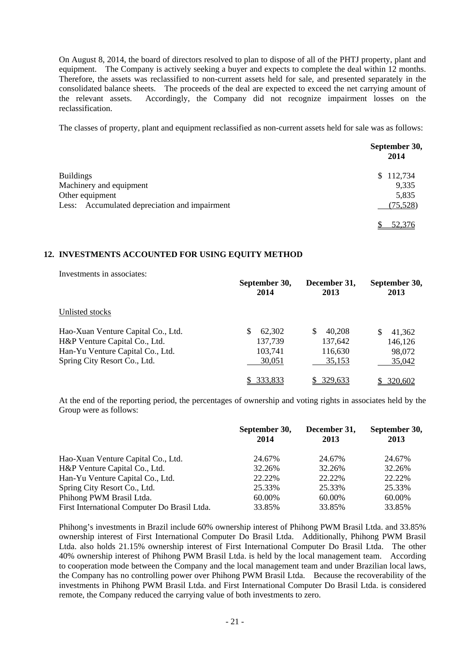On August 8, 2014, the board of directors resolved to plan to dispose of all of the PHTJ property, plant and equipment. The Company is actively seeking a buyer and expects to complete the deal within 12 months. Therefore, the assets was reclassified to non-current assets held for sale, and presented separately in the consolidated balance sheets. The proceeds of the deal are expected to exceed the net carrying amount of the relevant assets. Accordingly, the Company did not recognize impairment losses on the reclassification.

The classes of property, plant and equipment reclassified as non-current assets held for sale was as follows:

|                                               | September 30,<br>2014 |
|-----------------------------------------------|-----------------------|
| <b>Buildings</b>                              | \$112,734             |
| Machinery and equipment                       | 9,335                 |
| Other equipment                               | 5,835                 |
| Less: Accumulated depreciation and impairment | (75, 528)             |
|                                               | 52.376                |

### **12. INVESTMENTS ACCOUNTED FOR USING EQUITY METHOD**

Investments in associates:

|                                    | September 30,<br>2014 | December 31,<br>2013 | September 30,<br>2013 |
|------------------------------------|-----------------------|----------------------|-----------------------|
| Unlisted stocks                    |                       |                      |                       |
| Hao-Xuan Venture Capital Co., Ltd. | 62,302                | \$<br>40.208         | 41,362<br>\$.         |
| H&P Venture Capital Co., Ltd.      | 137,739               | 137,642              | 146,126               |
| Han-Yu Venture Capital Co., Ltd.   | 103,741               | 116,630              | 98,072                |
| Spring City Resort Co., Ltd.       | 30,051                | 35,153               | 35,042                |
|                                    | 333,833               | 329.633              | \$ 320,602            |

At the end of the reporting period, the percentages of ownership and voting rights in associates held by the Group were as follows:

|                                              | September 30,<br>2014 | December 31,<br>2013 | September 30,<br>2013 |
|----------------------------------------------|-----------------------|----------------------|-----------------------|
| Hao-Xuan Venture Capital Co., Ltd.           | 24.67%                | 24.67%               | 24.67%                |
| H&P Venture Capital Co., Ltd.                | 32.26%                | 32.26%               | 32.26%                |
| Han-Yu Venture Capital Co., Ltd.             | 22.22%                | 22.22\%              | 22.22%                |
| Spring City Resort Co., Ltd.                 | 25.33%                | 25.33%               | 25.33%                |
| Phihong PWM Brasil Ltda.                     | 60.00%                | 60.00%               | 60.00%                |
| First International Computer Do Brasil Ltda. | 33.85%                | 33.85%               | 33.85%                |

Phihong's investments in Brazil include 60% ownership interest of Phihong PWM Brasil Ltda. and 33.85% ownership interest of First International Computer Do Brasil Ltda. Additionally, Phihong PWM Brasil Ltda. also holds 21.15% ownership interest of First International Computer Do Brasil Ltda. The other 40% ownership interest of Phihong PWM Brasil Ltda. is held by the local management team. According to cooperation mode between the Company and the local management team and under Brazilian local laws, the Company has no controlling power over Phihong PWM Brasil Ltda. Because the recoverability of the investments in Phihong PWM Brasil Ltda. and First International Computer Do Brasil Ltda. is considered remote, the Company reduced the carrying value of both investments to zero.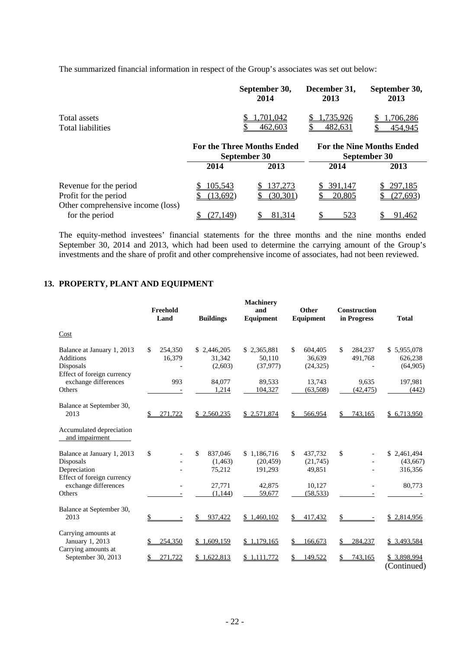The summarized financial information in respect of the Group's associates was set out below:

|                                                                                      |                     | September 30,<br>2014                             | December 31,<br>2013 | September 30,<br>2013                            |
|--------------------------------------------------------------------------------------|---------------------|---------------------------------------------------|----------------------|--------------------------------------------------|
| Total assets<br><b>Total liabilities</b>                                             |                     | .701.042<br>462,603                               | ,735,926<br>482,631  | .706,286<br>454,945                              |
|                                                                                      |                     | <b>For the Three Months Ended</b><br>September 30 |                      | <b>For the Nine Months Ended</b><br>September 30 |
|                                                                                      | 2014                | 2013                                              | 2014                 | 2013                                             |
| Revenue for the period<br>Profit for the period<br>Other comprehensive income (loss) | 105,543<br>(13,692) | 137,273<br>(30, 301)                              | 391,147<br>20,805    | 297,185<br>(27, 693)                             |

The equity-method investees' financial statements for the three months and the nine months ended September 30, 2014 and 2013, which had been used to determine the carrying amount of the Group's investments and the share of profit and other comprehensive income of associates, had not been reviewed.

for the period  $\frac{\$ (27,149)}{\$ (27,149)}$   $\frac{\$ (81,314)}{\$ (523)}$   $\frac{\$ (91,462)}{\$ (101,162)}$ 

### **13. PROPERTY, PLANT AND EQUIPMENT**

|                                                                                                                         | Freehold<br>Land        | <b>Buildings</b>                                        | <b>Machinery</b><br>and<br>Equipment                    | Other<br>Equipment                                         | <b>Construction</b><br>in Progress | <b>Total</b>                                 |
|-------------------------------------------------------------------------------------------------------------------------|-------------------------|---------------------------------------------------------|---------------------------------------------------------|------------------------------------------------------------|------------------------------------|----------------------------------------------|
| Cost                                                                                                                    |                         |                                                         |                                                         |                                                            |                                    |                                              |
| Balance at January 1, 2013<br><b>Additions</b><br>Disposals<br>Effect of foreign currency                               | \$<br>254,350<br>16,379 | \$2,446,205<br>31,342<br>(2,603)                        | \$2,365,881<br>50.110<br>(37, 977)                      | \$<br>604,405<br>36.639<br>(24, 325)                       | \$<br>284,237<br>491,768           | \$5,955,078<br>626,238<br>(64,905)           |
| exchange differences<br>Others                                                                                          | 993                     | 84,077<br>1,214                                         | 89,533<br>104,327                                       | 13,743<br>(63, 508)                                        | 9,635<br>(42, 475)                 | 197,981<br>(442)                             |
| Balance at September 30,<br>2013                                                                                        | 271,722                 | \$2,560,235                                             | \$2,571,874                                             | 566,954                                                    | \$<br>743,165                      | \$6,713,950                                  |
| Accumulated depreciation<br>and impairment                                                                              |                         |                                                         |                                                         |                                                            |                                    |                                              |
| Balance at January 1, 2013<br>Disposals<br>Depreciation<br>Effect of foreign currency<br>exchange differences<br>Others | \$                      | \$<br>837,046<br>(1,463)<br>75,212<br>27,771<br>(1,144) | \$1,186,716<br>(20, 459)<br>191,293<br>42,875<br>59,677 | \$<br>437,732<br>(21,745)<br>49,851<br>10,127<br>(58, 533) | \$                                 | \$2,461,494<br>(43,667)<br>316,356<br>80,773 |
| Balance at September 30,<br>2013                                                                                        | \$                      | 937,422                                                 | 1,460,102                                               | 417,432                                                    |                                    | \$2,814,956                                  |
| Carrying amounts at<br>January 1, 2013<br>Carrying amounts at                                                           | 254,350                 | \$<br>1,609,159                                         | 1,179,165<br>\$                                         | 166,673                                                    | 284,237                            | \$ 3,493,584                                 |
| September 30, 2013                                                                                                      | 271,722                 | 1,622,813                                               | \$1,111,772                                             | 149,522                                                    | 743,165                            | \$ 3,898,994<br>(Continued)                  |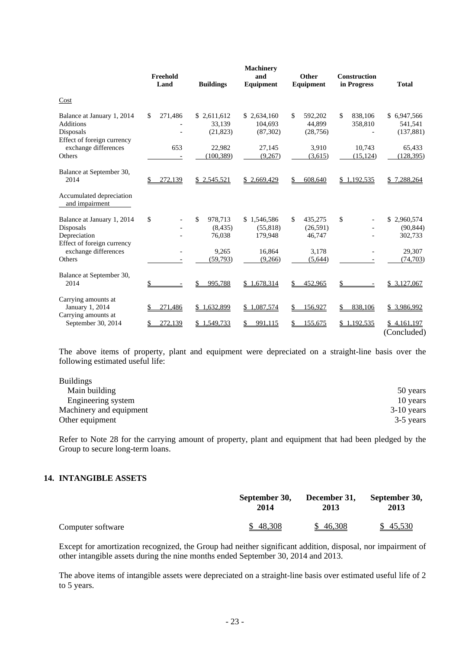|                                                                                           | Freehold<br>Land        | <b>Buildings</b>                    | <b>Machinery</b><br>and<br>Equipment | Other<br><b>Equipment</b>            | <b>Construction</b><br>in Progress | <b>Total</b>                             |
|-------------------------------------------------------------------------------------------|-------------------------|-------------------------------------|--------------------------------------|--------------------------------------|------------------------------------|------------------------------------------|
| Cost                                                                                      |                         |                                     |                                      |                                      |                                    |                                          |
| Balance at January 1, 2014<br><b>Additions</b><br>Disposals<br>Effect of foreign currency | $\mathbb{S}$<br>271,486 | \$2,611,612<br>33.139<br>(21, 823)  | \$2,634,160<br>104.693<br>(87, 302)  | \$<br>592,202<br>44.899<br>(28, 756) | \$<br>838,106<br>358,810           | 6,947,566<br>\$<br>541,541<br>(137, 881) |
| exchange differences<br>Others                                                            | 653                     | 22,982<br>(100, 389)                | 27,145<br>(9,267)                    | 3,910<br>(3,615)                     | 10.743<br>(15, 124)                | 65,433<br>(128, 395)                     |
| Balance at September 30,<br>2014                                                          | 272,139<br>\$           | \$2,545,521                         | \$2,669,429                          | 608,640                              | 1,192,535<br>\$                    | 7,288,264<br>\$                          |
| Accumulated depreciation<br>and impairment                                                |                         |                                     |                                      |                                      |                                    |                                          |
| Balance at January 1, 2014<br>Disposals<br>Depreciation<br>Effect of foreign currency     | \$                      | \$<br>978,713<br>(8, 435)<br>76,038 | \$1,546,586<br>(55, 818)<br>179,948  | \$<br>435,275<br>(26, 591)<br>46,747 | \$                                 | \$2,960,574<br>(90, 844)<br>302,733      |
| exchange differences<br>Others                                                            |                         | 9,265<br>(59, 793)                  | 16,864<br>(9,266)                    | 3,178<br>(5,644)                     |                                    | 29,307<br>(74, 703)                      |
| Balance at September 30,<br>2014                                                          | \$                      | 995,788                             | \$1,678,314                          | 452,965                              | \$                                 | \$3,127,067                              |
| Carrying amounts at<br>January 1, 2014<br>Carrying amounts at                             | 271,486                 | 1,632,899<br>\$                     | \$1,087,574                          | 156,927                              | 838,106                            | \$ 3,986,992                             |
| September 30, 2014                                                                        | 272,139                 | \$1,549,733                         | 991.115                              | 155,675                              | \$1,192,535                        | \$4,161,197<br>(Concluded)               |

The above items of property, plant and equipment were depreciated on a straight-line basis over the following estimated useful life:

| 50 years     |
|--------------|
| 10 years     |
| $3-10$ years |
| 3-5 years    |
|              |

Refer to Note 28 for the carrying amount of property, plant and equipment that had been pledged by the Group to secure long-term loans.

### **14. INTANGIBLE ASSETS**

|                   | September 30, | December 31, | September 30, |  |
|-------------------|---------------|--------------|---------------|--|
|                   | 2014          | 2013         | 2013          |  |
| Computer software | \$48,308      | 46,308       | \$45,530      |  |

Except for amortization recognized, the Group had neither significant addition, disposal, nor impairment of other intangible assets during the nine months ended September 30, 2014 and 2013.

The above items of intangible assets were depreciated on a straight-line basis over estimated useful life of 2 to 5 years.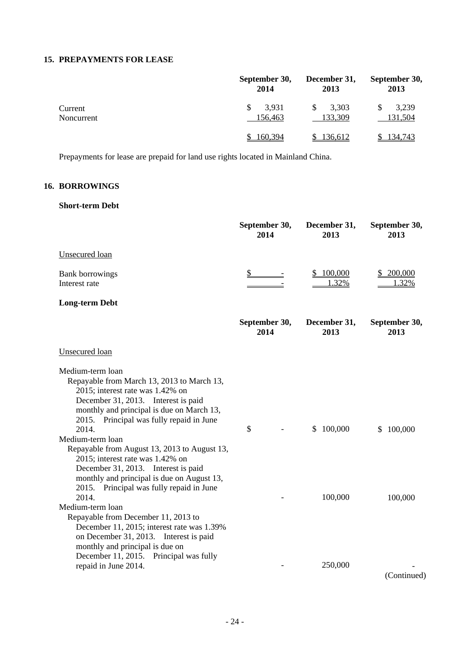### **15. PREPAYMENTS FOR LEASE**

|                       | September 30,<br>2014  | December 31,<br>2013 | September 30,<br>2013 |  |
|-----------------------|------------------------|----------------------|-----------------------|--|
| Current<br>Noncurrent | 3,931<br>\$<br>156,463 | 3,303<br>133,309     | 3,239<br>131,504      |  |
|                       | 160,394                | 136,612              | 134,743               |  |

Prepayments for lease are prepaid for land use rights located in Mainland China.

# **16. BORROWINGS**

### **Short-term Debt**

|                                                                                                                                                                                                                                                                                                                                                                                                                                          | September 30,<br>2014 | December 31,<br>2013 | September 30,<br>2013 |
|------------------------------------------------------------------------------------------------------------------------------------------------------------------------------------------------------------------------------------------------------------------------------------------------------------------------------------------------------------------------------------------------------------------------------------------|-----------------------|----------------------|-----------------------|
| Unsecured loan                                                                                                                                                                                                                                                                                                                                                                                                                           |                       |                      |                       |
| <b>Bank borrowings</b><br>Interest rate                                                                                                                                                                                                                                                                                                                                                                                                  | $\mathbb{S}$          | 100,000<br>1.32%     | 200,000<br>1.32%      |
| <b>Long-term Debt</b>                                                                                                                                                                                                                                                                                                                                                                                                                    |                       |                      |                       |
|                                                                                                                                                                                                                                                                                                                                                                                                                                          | September 30,<br>2014 | December 31,<br>2013 | September 30,<br>2013 |
| <b>Unsecured</b> loan                                                                                                                                                                                                                                                                                                                                                                                                                    |                       |                      |                       |
| Medium-term loan<br>Repayable from March 13, 2013 to March 13,<br>2015; interest rate was 1.42% on<br>December 31, 2013. Interest is paid<br>monthly and principal is due on March 13,<br>2015. Principal was fully repaid in June<br>2014.<br>Medium-term loan<br>Repayable from August 13, 2013 to August 13,<br>2015; interest rate was 1.42% on<br>December 31, 2013. Interest is paid<br>monthly and principal is due on August 13, | \$                    | 100,000<br>\$        | 100,000<br>\$         |
| 2015. Principal was fully repaid in June<br>2014.<br>Medium-term loan<br>Repayable from December 11, 2013 to<br>December 11, 2015; interest rate was 1.39%<br>on December 31, 2013. Interest is paid<br>monthly and principal is due on<br>December 11, 2015. Principal was fully                                                                                                                                                        |                       | 100,000              | 100,000               |
| repaid in June 2014.                                                                                                                                                                                                                                                                                                                                                                                                                     |                       | 250,000              | (Continued)           |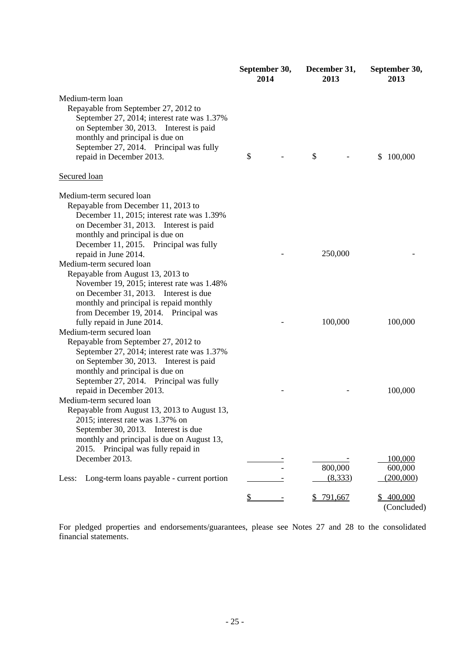|                                                                                                                                                                                                                                                                                                                                                                             | 2014 | September 30,<br>December 31,<br>2013 |           |                     | September 30,<br>2013                                       |
|-----------------------------------------------------------------------------------------------------------------------------------------------------------------------------------------------------------------------------------------------------------------------------------------------------------------------------------------------------------------------------|------|---------------------------------------|-----------|---------------------|-------------------------------------------------------------|
| Medium-term loan<br>Repayable from September 27, 2012 to<br>September 27, 2014; interest rate was 1.37%<br>on September 30, 2013. Interest is paid<br>monthly and principal is due on<br>September 27, 2014. Principal was fully<br>repaid in December 2013.                                                                                                                | \$   |                                       | \$        |                     | \$<br>100,000                                               |
| Secured loan                                                                                                                                                                                                                                                                                                                                                                |      |                                       |           |                     |                                                             |
| Medium-term secured loan<br>Repayable from December 11, 2013 to<br>December 11, 2015; interest rate was 1.39%<br>on December 31, 2013. Interest is paid<br>monthly and principal is due on<br>December 11, 2015. Principal was fully<br>repaid in June 2014.<br>Medium-term secured loan<br>Repayable from August 13, 2013 to<br>November 19, 2015; interest rate was 1.48% |      |                                       |           | 250,000             |                                                             |
| on December 31, 2013. Interest is due<br>monthly and principal is repaid monthly<br>from December 19, 2014. Principal was<br>fully repaid in June 2014.<br>Medium-term secured loan<br>Repayable from September 27, 2012 to                                                                                                                                                 |      |                                       |           | 100,000             | 100,000                                                     |
| September 27, 2014; interest rate was 1.37%<br>on September 30, 2013. Interest is paid<br>monthly and principal is due on<br>September 27, 2014. Principal was fully<br>repaid in December 2013.<br>Medium-term secured loan<br>Repayable from August 13, 2013 to August 13,<br>2015; interest rate was 1.37% on<br>September 30, 2013. Interest is due                     |      |                                       |           |                     | 100,000                                                     |
| monthly and principal is due on August 13,<br>2015. Principal was fully repaid in<br>December 2013.<br>Long-term loans payable - current portion<br>Less:                                                                                                                                                                                                                   | \$   |                                       | \$791,667 | 800,000<br>(8, 333) | 100,000<br>600,000<br>(200,000)<br>\$400,000<br>(Concluded) |

For pledged properties and endorsements/guarantees, please see Notes 27 and 28 to the consolidated financial statements.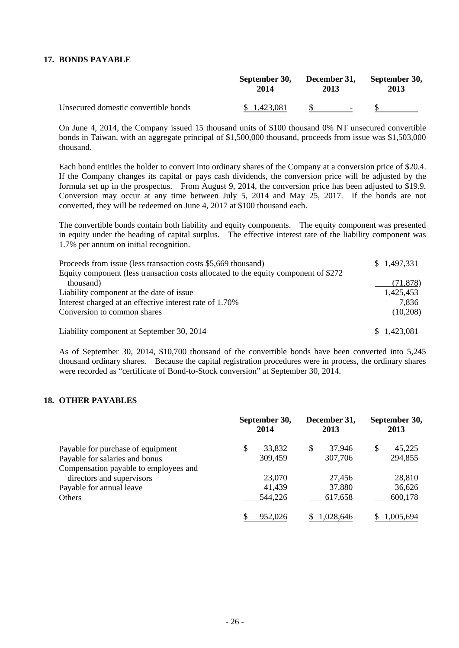### **17. BONDS PAYABLE**

| Unsecured domestic convertible bonds | September 30,<br>2014 | <b>December 31,</b><br>2013 | September 30,<br>2013 |  |
|--------------------------------------|-----------------------|-----------------------------|-----------------------|--|
|                                      | \$1,423,081           |                             |                       |  |

On June 4, 2014, the Company issued 15 thousand units of \$100 thousand 0% NT unsecured convertible bonds in Taiwan, with an aggregate principal of \$1,500,000 thousand, proceeds from issue was \$1,503,000 thousand.

Each bond entitles the holder to convert into ordinary shares of the Company at a conversion price of \$20.4. If the Company changes its capital or pays cash dividends, the conversion price will be adjusted by the formula set up in the prospectus. From August 9, 2014, the conversion price has been adjusted to \$19.9. Conversion may occur at any time between July 5, 2014 and May 25, 2017. If the bonds are not converted, they will be redeemed on June 4, 2017 at \$100 thousand each.

The convertible bonds contain both liability and equity components. The equity component was presented in equity under the heading of capital surplus. The effective interest rate of the liability component was 1.7% per annum on initial recognition.

| Proceeds from issue (less transaction costs \$5,669 thousand)                       | \$1,497,331 |
|-------------------------------------------------------------------------------------|-------------|
| Equity component (less transaction costs allocated to the equity component of \$272 |             |
| thousand)                                                                           | (71, 878)   |
| Liability component at the date of issue.                                           | 1,425,453   |
| Interest charged at an effective interest rate of 1.70%                             | 7.836       |
| Conversion to common shares                                                         | (10,208)    |
| Liability component at September 30, 2014                                           | 1.423.081   |

As of September 30, 2014, \$10,700 thousand of the convertible bonds have been converted into 5,245 thousand ordinary shares. Because the capital registration procedures were in process, the ordinary shares were recorded as "certificate of Bond-to-Stock conversion" at September 30, 2014.

### **18. OTHER PAYABLES**

|                                       | September 30,<br>2014 | December 31,<br>2013 |           | September 30,<br>2013 |           |
|---------------------------------------|-----------------------|----------------------|-----------|-----------------------|-----------|
| Payable for purchase of equipment     | \$<br>33,832          | \$                   | 37,946    | S                     | 45,225    |
| Payable for salaries and bonus        | 309,459               |                      | 307,706   |                       | 294,855   |
| Compensation payable to employees and |                       |                      |           |                       |           |
| directors and supervisors             | 23,070                |                      | 27,456    |                       | 28,810    |
| Payable for annual leave              | 41,439                |                      | 37,880    |                       | 36,626    |
| Others                                | 544,226               |                      | 617,658   |                       | 600,178   |
|                                       | 952,026               |                      | 1.028.646 |                       | 1.005.694 |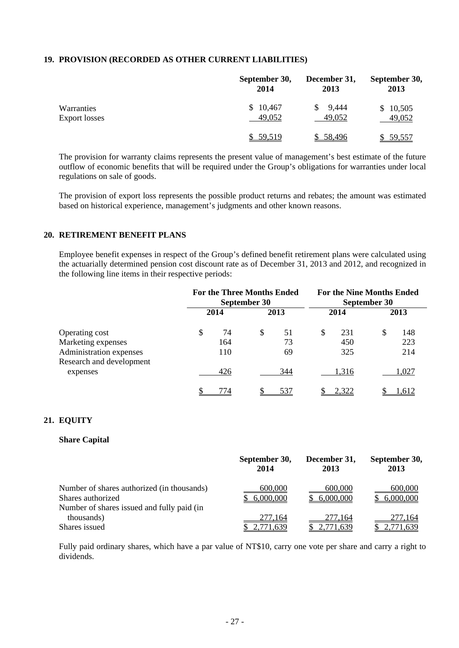### **19. PROVISION (RECORDED AS OTHER CURRENT LIABILITIES)**

|                      | September 30, | December 31, | September 30, |
|----------------------|---------------|--------------|---------------|
|                      | 2014          | 2013         | 2013          |
| Warranties           | \$10,467      | 9,444        | \$10,505      |
| <b>Export losses</b> | 49,052        | 49,052       | 49,052        |
|                      | \$59,519      | \$ 58,496    | 59,557        |

The provision for warranty claims represents the present value of management's best estimate of the future outflow of economic benefits that will be required under the Group's obligations for warranties under local regulations on sale of goods.

The provision of export loss represents the possible product returns and rebates; the amount was estimated based on historical experience, management's judgments and other known reasons.

### **20. RETIREMENT BENEFIT PLANS**

Employee benefit expenses in respect of the Group's defined benefit retirement plans were calculated using the actuarially determined pension cost discount rate as of December 31, 2013 and 2012, and recognized in the following line items in their respective periods:

|                                      | <b>For the Three Months Ended</b><br>September 30 |   | <b>For the Nine Months Ended</b><br>September 30 |   |       |    |       |
|--------------------------------------|---------------------------------------------------|---|--------------------------------------------------|---|-------|----|-------|
|                                      | 2014                                              |   | 2013                                             |   | 2014  |    | 2013  |
| Operating cost                       | \$<br>74                                          | S | 51                                               | S | 231   | \$ | 148   |
| Marketing expenses                   | 164                                               |   | 73                                               |   | 450   |    | 223   |
| Administration expenses              | 110                                               |   | 69                                               |   | 325   |    | 214   |
| Research and development<br>expenses | 426                                               |   | 344                                              |   | 1,316 |    | 1,027 |
|                                      | 774                                               |   | 537                                              |   | 2.322 |    | .612  |

### **21. EQUITY**

### **Share Capital**

|                                                                                                               | September 30,        | December 31,         | September 30,        |
|---------------------------------------------------------------------------------------------------------------|----------------------|----------------------|----------------------|
|                                                                                                               | 2014                 | 2013                 | 2013                 |
| Number of shares authorized (in thousands)<br>Shares authorized<br>Number of shares issued and fully paid (in | 600,000<br>6,000,000 | 600,000<br>6,000,000 | 600,000<br>6,000,000 |
| thousands)                                                                                                    | 277,164              | 277,164              | 277,164              |
| Shares issued                                                                                                 | 2,771,639            | 2,771,639            | 2,771,639            |

Fully paid ordinary shares, which have a par value of NT\$10, carry one vote per share and carry a right to dividends.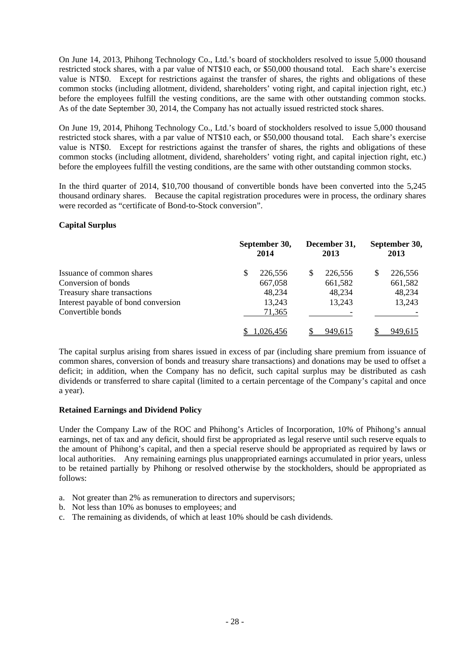On June 14, 2013, Phihong Technology Co., Ltd.'s board of stockholders resolved to issue 5,000 thousand restricted stock shares, with a par value of NT\$10 each, or \$50,000 thousand total. Each share's exercise value is NT\$0. Except for restrictions against the transfer of shares, the rights and obligations of these common stocks (including allotment, dividend, shareholders' voting right, and capital injection right, etc.) before the employees fulfill the vesting conditions, are the same with other outstanding common stocks. As of the date September 30, 2014, the Company has not actually issued restricted stock shares.

On June 19, 2014, Phihong Technology Co., Ltd.'s board of stockholders resolved to issue 5,000 thousand restricted stock shares, with a par value of NT\$10 each, or \$50,000 thousand total. Each share's exercise value is NT\$0. Except for restrictions against the transfer of shares, the rights and obligations of these common stocks (including allotment, dividend, shareholders' voting right, and capital injection right, etc.) before the employees fulfill the vesting conditions, are the same with other outstanding common stocks.

In the third quarter of 2014, \$10,700 thousand of convertible bonds have been converted into the 5,245 thousand ordinary shares. Because the capital registration procedures were in process, the ordinary shares were recorded as "certificate of Bond-to-Stock conversion".

### **Capital Surplus**

|                                     |   | September 30,<br>2014 |   | December 31,<br>2013 | September 30,<br>2013 |
|-------------------------------------|---|-----------------------|---|----------------------|-----------------------|
| Issuance of common shares           | S | 226,556               | S | 226,556              | 226,556               |
| Conversion of bonds                 |   | 667,058               |   | 661,582              | 661,582               |
| Treasury share transactions         |   | 48,234                |   | 48,234               | 48,234                |
| Interest payable of bond conversion |   | 13,243                |   | 13.243               | 13,243                |
| Convertible bonds                   |   | 71,365                |   |                      |                       |
|                                     |   | .026.456              |   | 949,615              | 949.615               |

The capital surplus arising from shares issued in excess of par (including share premium from issuance of common shares, conversion of bonds and treasury share transactions) and donations may be used to offset a deficit; in addition, when the Company has no deficit, such capital surplus may be distributed as cash dividends or transferred to share capital (limited to a certain percentage of the Company's capital and once a year).

### **Retained Earnings and Dividend Policy**

Under the Company Law of the ROC and Phihong's Articles of Incorporation, 10% of Phihong's annual earnings, net of tax and any deficit, should first be appropriated as legal reserve until such reserve equals to the amount of Phihong's capital, and then a special reserve should be appropriated as required by laws or local authorities. Any remaining earnings plus unappropriated earnings accumulated in prior years, unless to be retained partially by Phihong or resolved otherwise by the stockholders, should be appropriated as follows:

- a. Not greater than 2% as remuneration to directors and supervisors;
- b. Not less than 10% as bonuses to employees; and
- c. The remaining as dividends, of which at least 10% should be cash dividends.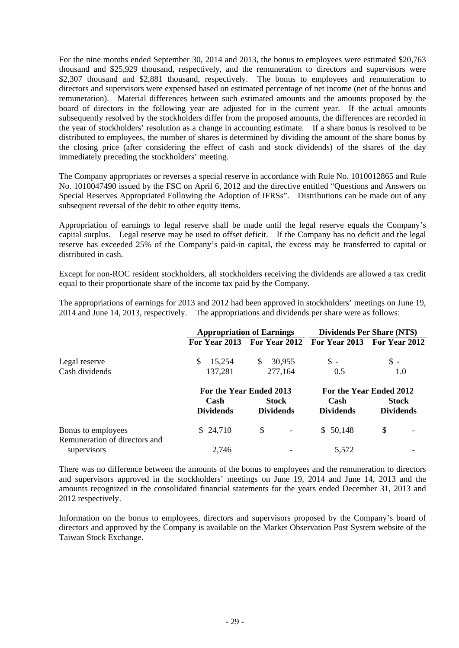For the nine months ended September 30, 2014 and 2013, the bonus to employees were estimated \$20,763 thousand and \$25,929 thousand, respectively, and the remuneration to directors and supervisors were \$2,307 thousand and \$2,881 thousand, respectively. The bonus to employees and remuneration to directors and supervisors were expensed based on estimated percentage of net income (net of the bonus and remuneration). Material differences between such estimated amounts and the amounts proposed by the board of directors in the following year are adjusted for in the current year. If the actual amounts subsequently resolved by the stockholders differ from the proposed amounts, the differences are recorded in the year of stockholders' resolution as a change in accounting estimate. If a share bonus is resolved to be distributed to employees, the number of shares is determined by dividing the amount of the share bonus by the closing price (after considering the effect of cash and stock dividends) of the shares of the day immediately preceding the stockholders' meeting.

The Company appropriates or reverses a special reserve in accordance with Rule No. 1010012865 and Rule No. 1010047490 issued by the FSC on April 6, 2012 and the directive entitled "Questions and Answers on Special Reserves Appropriated Following the Adoption of IFRSs". Distributions can be made out of any subsequent reversal of the debit to other equity items.

Appropriation of earnings to legal reserve shall be made until the legal reserve equals the Company's capital surplus. Legal reserve may be used to offset deficit. If the Company has no deficit and the legal reserve has exceeded 25% of the Company's paid-in capital, the excess may be transferred to capital or distributed in cash.

Except for non-ROC resident stockholders, all stockholders receiving the dividends are allowed a tax credit equal to their proportionate share of the income tax paid by the Company.

The appropriations of earnings for 2013 and 2012 had been approved in stockholders' meetings on June 19, 2014 and June 14, 2013, respectively. The appropriations and dividends per share were as follows:

|                                              | <b>Appropriation of Earnings</b> |    |                         | <b>Dividends Per Share (NT\$)</b>         |                  |  |
|----------------------------------------------|----------------------------------|----|-------------------------|-------------------------------------------|------------------|--|
|                                              |                                  |    |                         | For Year 2013 For Year 2012 For Year 2013 | For Year 2012    |  |
| Legal reserve                                | \$<br>15,254                     | S. | 30,955                  | $\mathbb{S}$ -                            | \$-              |  |
| Cash dividends                               | 137,281                          |    | 277,164                 | 0.5                                       | 1.0              |  |
|                                              | For the Year Ended 2013          |    | For the Year Ended 2012 |                                           |                  |  |
|                                              | Cash                             |    | <b>Stock</b>            | Cash                                      | <b>Stock</b>     |  |
|                                              | <b>Dividends</b>                 |    | <b>Dividends</b>        | <b>Dividends</b>                          | <b>Dividends</b> |  |
| Bonus to employees                           | \$24,710                         | \$ |                         | \$50,148                                  | \$               |  |
| Remuneration of directors and<br>supervisors | 2,746                            |    |                         | 5.572                                     |                  |  |

There was no difference between the amounts of the bonus to employees and the remuneration to directors and supervisors approved in the stockholders' meetings on June 19, 2014 and June 14, 2013 and the amounts recognized in the consolidated financial statements for the years ended December 31, 2013 and 2012 respectively.

Information on the bonus to employees, directors and supervisors proposed by the Company's board of directors and approved by the Company is available on the Market Observation Post System website of the Taiwan Stock Exchange.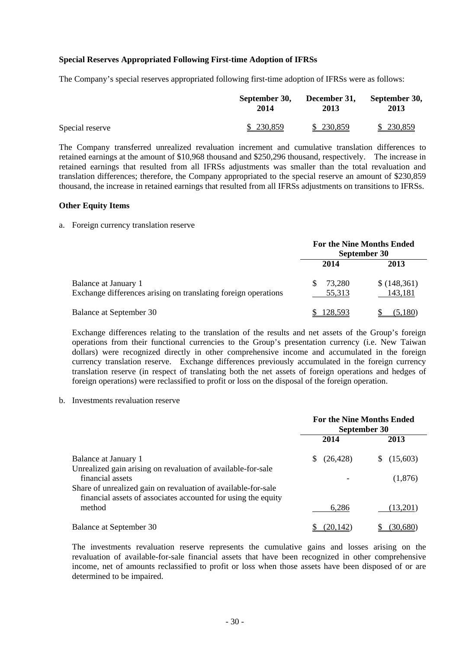### **Special Reserves Appropriated Following First-time Adoption of IFRSs**

The Company's special reserves appropriated following first-time adoption of IFRSs were as follows:

|                 | September 30, | December 31, | September 30, |
|-----------------|---------------|--------------|---------------|
|                 | 2014          | 2013         | 2013          |
| Special reserve | \$230,859     | \$230,859    | \$230,859     |

The Company transferred unrealized revaluation increment and cumulative translation differences to retained earnings at the amount of \$10,968 thousand and \$250,296 thousand, respectively. The increase in retained earnings that resulted from all IFRSs adjustments was smaller than the total revaluation and translation differences; therefore, the Company appropriated to the special reserve an amount of \$230,859 thousand, the increase in retained earnings that resulted from all IFRSs adjustments on transitions to IFRSs.

#### **Other Equity Items**

#### a. Foreign currency translation reserve

|                                                                                        |                  | <b>For the Nine Months Ended</b><br><b>September 30</b> |
|----------------------------------------------------------------------------------------|------------------|---------------------------------------------------------|
|                                                                                        | 2014             | 2013                                                    |
| Balance at January 1<br>Exchange differences arising on translating foreign operations | 73.280<br>55,313 | \$(148,361)<br>143,181                                  |
| Balance at September 30                                                                | 128.593          | (5.180)                                                 |

Exchange differences relating to the translation of the results and net assets of the Group's foreign operations from their functional currencies to the Group's presentation currency (i.e. New Taiwan dollars) were recognized directly in other comprehensive income and accumulated in the foreign currency translation reserve. Exchange differences previously accumulated in the foreign currency translation reserve (in respect of translating both the net assets of foreign operations and hedges of foreign operations) were reclassified to profit or loss on the disposal of the foreign operation.

b. Investments revaluation reserve

|                                                                                                                                                    | <b>For the Nine Months Ended</b><br>September 30 |                |
|----------------------------------------------------------------------------------------------------------------------------------------------------|--------------------------------------------------|----------------|
|                                                                                                                                                    | 2014                                             | 2013           |
| Balance at January 1<br>Unrealized gain arising on revaluation of available-for-sale                                                               | (26, 428)<br>S.                                  | (15,603)<br>S. |
| financial assets<br>Share of unrealized gain on revaluation of available-for-sale<br>financial assets of associates accounted for using the equity |                                                  | (1,876)        |
| method                                                                                                                                             | 6,286                                            | (13,201)       |
| Balance at September 30                                                                                                                            | (20.142)                                         | (30,680)       |

The investments revaluation reserve represents the cumulative gains and losses arising on the revaluation of available-for-sale financial assets that have been recognized in other comprehensive income, net of amounts reclassified to profit or loss when those assets have been disposed of or are determined to be impaired.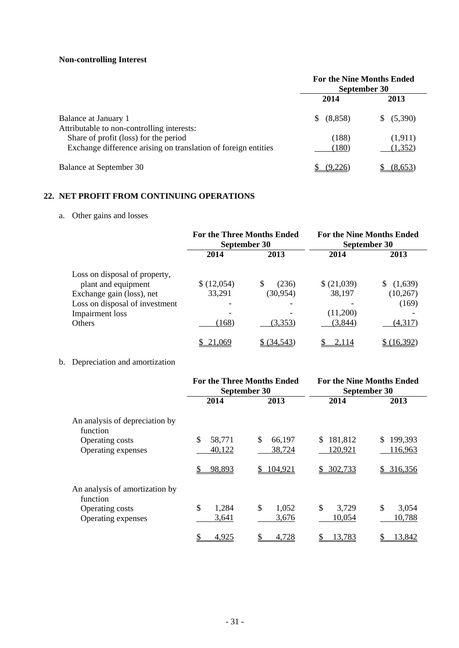# **Non-controlling Interest**

|                                                                | <b>For the Nine Months Ended</b><br>September 30 |            |
|----------------------------------------------------------------|--------------------------------------------------|------------|
|                                                                | 2014                                             | 2013       |
| Balance at January 1                                           | (8,858)<br>S.                                    | \$ (5,390) |
| Attributable to non-controlling interests:                     |                                                  |            |
| Share of profit (loss) for the period                          | (188)                                            | (1,911)    |
| Exchange difference arising on translation of foreign entities | (180)                                            | (1,352)    |
| Balance at September 30                                        | 19.226                                           | (8,653)    |

## **22. NET PROFIT FROM CONTINUING OPERATIONS**

# a. Other gains and losses

|                                                             | <b>For the Three Months Ended</b><br>September 30 |              | <b>For the Nine Months Ended</b><br>September 30 |                    |
|-------------------------------------------------------------|---------------------------------------------------|--------------|--------------------------------------------------|--------------------|
|                                                             | 2014                                              | 2013         | 2014                                             | 2013               |
| Loss on disposal of property,<br>plant and equipment        | \$(12,054)                                        | \$.<br>(236) | \$ (21,039)                                      | (1,639)<br>S       |
| Exchange gain (loss), net<br>Loss on disposal of investment | 33,291                                            | (30, 954)    | 38,197                                           | (10, 267)<br>(169) |
| Impairment loss<br><b>Others</b>                            | (168)                                             | (3,353)      | (11,200)<br>(3,844)                              | (4,317)            |
|                                                             | 21,069                                            | \$ (34.543)  | 2.114                                            | (16.392)           |

# b. Depreciation and amortization

|                                            |              | <b>For the Three Months Ended</b><br>September 30 | <b>For the Nine Months Ended</b><br>September 30 |             |  |
|--------------------------------------------|--------------|---------------------------------------------------|--------------------------------------------------|-------------|--|
|                                            | 2014         | 2013                                              | 2014                                             | 2013        |  |
| An analysis of depreciation by<br>function |              |                                                   |                                                  |             |  |
| Operating costs                            | \$<br>58,771 | \$<br>66,197                                      | 181,812<br>S                                     | 199,393     |  |
| Operating expenses                         | 40,122       | 38,724                                            | 120,921                                          | 116,963     |  |
|                                            | 98,893<br>\$ | 104,921<br>\$                                     | \$302,733                                        | \$316,356   |  |
| An analysis of amortization by<br>function |              |                                                   |                                                  |             |  |
| Operating costs                            | \$<br>1,284  | \$<br>1,052                                       | \$<br>3,729                                      | \$<br>3,054 |  |
| Operating expenses                         | 3,641        | 3,676                                             | 10,054                                           | 10,788      |  |
|                                            | \$<br>4,925  | 4,728                                             | \$<br>13,783                                     | 13,842      |  |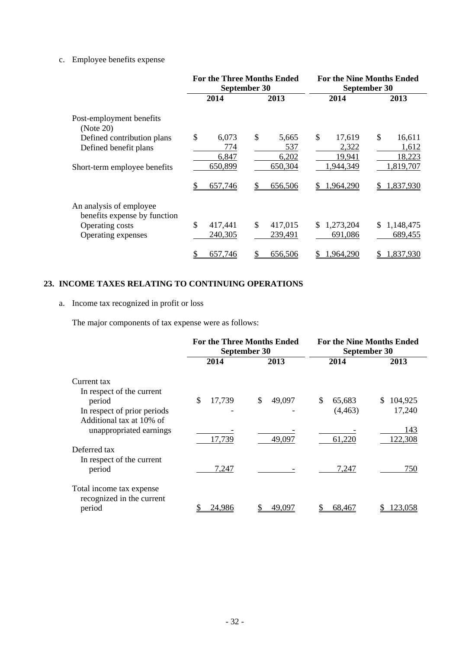## c. Employee benefits expense

|                                                                                                  |                             | <b>For the Three Months Ended</b><br>September 30 | <b>For the Nine Months Ended</b><br>September 30 |                                 |
|--------------------------------------------------------------------------------------------------|-----------------------------|---------------------------------------------------|--------------------------------------------------|---------------------------------|
|                                                                                                  | 2014                        | 2013                                              | 2014                                             | 2013                            |
| Post-employment benefits<br>(Note 20)                                                            |                             |                                                   |                                                  |                                 |
| Defined contribution plans<br>Defined benefit plans                                              | \$<br>6,073<br>774<br>6,847 | \$<br>5,665<br>537<br>6,202                       | \$<br>17,619<br>2,322<br>19,941                  | \$<br>16,611<br>1,612<br>18,223 |
| Short-term employee benefits                                                                     | 650,899<br>\$<br>657,746    | 650,304<br>656,506                                | 1,944,349<br>1,964,290<br>S                      | 1,819,707<br>1,837,930<br>\$.   |
| An analysis of employee<br>benefits expense by function<br>Operating costs<br>Operating expenses | \$<br>417,441<br>240,305    | \$<br>417,015<br>239,491                          | 1,273,204<br>\$<br>691,086                       | \$<br>1,148,475<br>689,455      |
|                                                                                                  | \$<br>657,746               | 656,506                                           | ,964,290<br>S                                    | 1,837,930                       |

## **23. INCOME TAXES RELATING TO CONTINUING OPERATIONS**

# a. Income tax recognized in profit or loss

The major components of tax expense were as follows:

|                                                                 |              | <b>For the Three Months Ended</b><br>September 30 | <b>For the Nine Months Ended</b><br>September 30 |                |  |
|-----------------------------------------------------------------|--------------|---------------------------------------------------|--------------------------------------------------|----------------|--|
|                                                                 | 2014         | 2013                                              | 2014                                             | 2013           |  |
| Current tax                                                     |              |                                                   |                                                  |                |  |
| In respect of the current<br>period                             | \$<br>17,739 | \$<br>49,097                                      | \$.<br>65,683                                    | 104,925<br>S.  |  |
| In respect of prior periods<br>Additional tax at 10% of         |              |                                                   | (4, 463)                                         | 17,240         |  |
| unappropriated earnings                                         | 17,739       | 49,097                                            | 61,220                                           | 143<br>122,308 |  |
| Deferred tax                                                    |              |                                                   |                                                  |                |  |
| In respect of the current<br>period                             | 7,247        |                                                   | 7,247                                            | 750            |  |
| Total income tax expense<br>recognized in the current<br>period | 24.986       | 49,097                                            | 68,467                                           | 123,058        |  |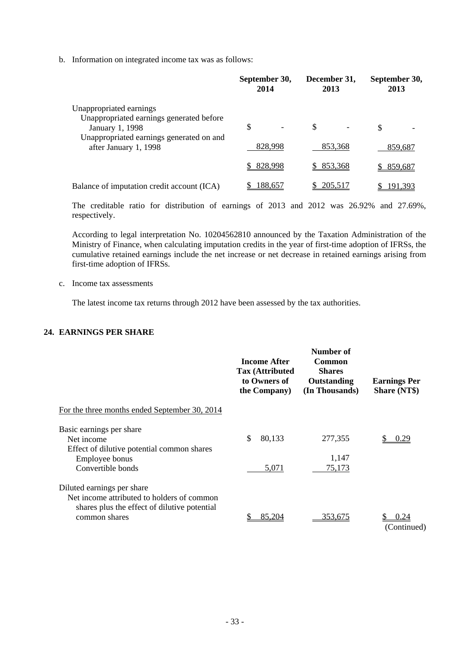b. Information on integrated income tax was as follows:

|                                                                   | September 30,<br>2014 | December 31,<br>2013 | September 30,<br>2013 |
|-------------------------------------------------------------------|-----------------------|----------------------|-----------------------|
| Unappropriated earnings                                           |                       |                      |                       |
| Unappropriated earnings generated before<br>January 1, 1998       | \$                    | \$                   | S                     |
| Unappropriated earnings generated on and<br>after January 1, 1998 | 828,998               | 853,368              | 859,687               |
|                                                                   | 828,998               | 853,368              | 859,687               |
| Balance of imputation credit account (ICA)                        | 188,657               | 205,517              |                       |

The creditable ratio for distribution of earnings of 2013 and 2012 was 26.92% and 27.69%, respectively.

According to legal interpretation No. 10204562810 announced by the Taxation Administration of the Ministry of Finance, when calculating imputation credits in the year of first-time adoption of IFRSs, the cumulative retained earnings include the net increase or net decrease in retained earnings arising from first-time adoption of IFRSs.

c. Income tax assessments

The latest income tax returns through 2012 have been assessed by the tax authorities.

### **24. EARNINGS PER SHARE**

|                                                                                                                          | <b>Income After</b><br><b>Tax (Attributed)</b><br>to Owners of<br>the Company) | Number of<br><b>Common</b><br><b>Shares</b><br>Outstanding<br>(In Thousands) | <b>Earnings Per</b><br><b>Share (NT\$)</b> |
|--------------------------------------------------------------------------------------------------------------------------|--------------------------------------------------------------------------------|------------------------------------------------------------------------------|--------------------------------------------|
| For the three months ended September 30, 2014                                                                            |                                                                                |                                                                              |                                            |
| Basic earnings per share<br>Net income<br>Effect of dilutive potential common shares<br>Employee bonus                   | \$<br>80,133                                                                   | 277,355<br>1,147                                                             | 0.29                                       |
| Convertible bonds                                                                                                        | 5,071                                                                          | 75,173                                                                       |                                            |
| Diluted earnings per share<br>Net income attributed to holders of common<br>shares plus the effect of dilutive potential |                                                                                |                                                                              |                                            |
| common shares                                                                                                            | 85,204                                                                         | 353,675                                                                      | 0.24<br>(Continued)                        |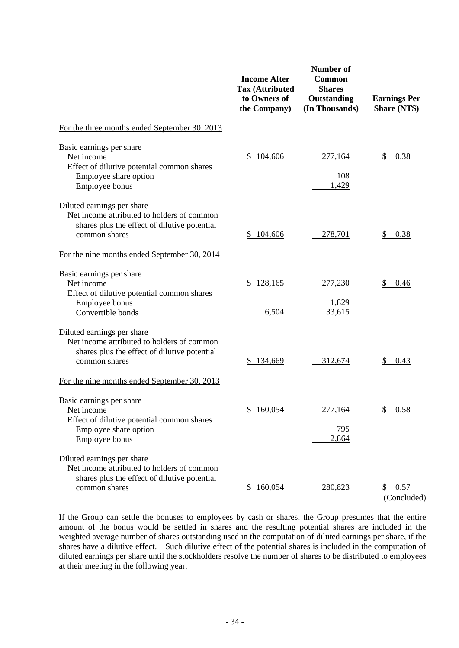|                                                                                                                                           | <b>Income After</b><br><b>Tax (Attributed</b><br>to Owners of<br>the Company) | <b>Number of</b><br>Common<br><b>Shares</b><br>Outstanding<br>(In Thousands) | <b>Earnings Per</b><br><b>Share (NT\$)</b> |
|-------------------------------------------------------------------------------------------------------------------------------------------|-------------------------------------------------------------------------------|------------------------------------------------------------------------------|--------------------------------------------|
| For the three months ended September 30, 2013                                                                                             |                                                                               |                                                                              |                                            |
| Basic earnings per share<br>Net income<br>Effect of dilutive potential common shares<br>Employee share option<br>Employee bonus           | 104,606                                                                       | 277,164<br>108<br>1,429                                                      | 0.38                                       |
| Diluted earnings per share<br>Net income attributed to holders of common<br>shares plus the effect of dilutive potential<br>common shares | 104,606                                                                       | 278,701                                                                      | 0.38                                       |
| For the nine months ended September 30, 2014                                                                                              |                                                                               |                                                                              |                                            |
| Basic earnings per share<br>Net income<br>Effect of dilutive potential common shares                                                      | 128,165<br>\$                                                                 | 277,230                                                                      | <u>\$</u><br>0.46                          |
| Employee bonus<br>Convertible bonds                                                                                                       | 6,504                                                                         | 1,829<br>33,615                                                              |                                            |
| Diluted earnings per share<br>Net income attributed to holders of common<br>shares plus the effect of dilutive potential<br>common shares | 134,669                                                                       | 312,674                                                                      | \$<br>0.43                                 |
| For the nine months ended September 30, 2013                                                                                              |                                                                               |                                                                              |                                            |
| Basic earnings per share<br>Net income<br>Effect of dilutive potential common shares<br>Employee share option                             | \$160,054                                                                     | 277,164<br>795                                                               | \$0.58                                     |
| Employee bonus                                                                                                                            |                                                                               | 2,864                                                                        |                                            |
| Diluted earnings per share<br>Net income attributed to holders of common<br>shares plus the effect of dilutive potential<br>common shares | 160,054                                                                       | 280,823                                                                      | \$0.57<br>(Concluded)                      |

If the Group can settle the bonuses to employees by cash or shares, the Group presumes that the entire amount of the bonus would be settled in shares and the resulting potential shares are included in the weighted average number of shares outstanding used in the computation of diluted earnings per share, if the shares have a dilutive effect. Such dilutive effect of the potential shares is included in the computation of diluted earnings per share until the stockholders resolve the number of shares to be distributed to employees at their meeting in the following year.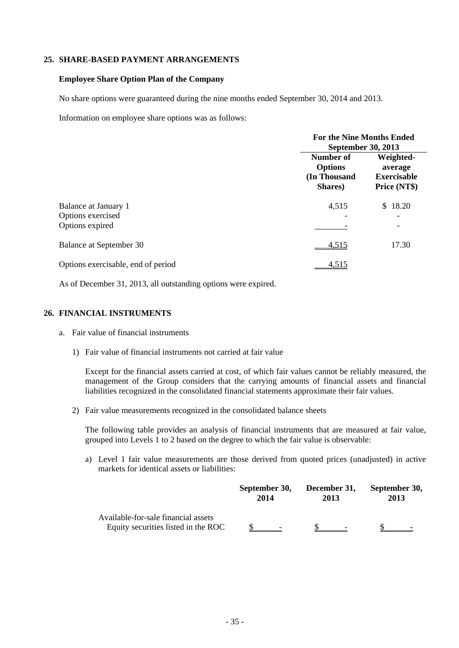### **25. SHARE-BASED PAYMENT ARRANGEMENTS**

#### **Employee Share Option Plan of the Company**

No share options were guaranteed during the nine months ended September 30, 2014 and 2013.

Information on employee share options was as follows:

|                                                              | <b>For the Nine Months Ended</b>                                             |                                                            |  |
|--------------------------------------------------------------|------------------------------------------------------------------------------|------------------------------------------------------------|--|
|                                                              | September 30, 2013<br>Number of<br><b>Options</b><br>(In Thousand<br>Shares) | Weighted-<br>average<br><b>Exercisable</b><br>Price (NT\$) |  |
| Balance at January 1<br>Options exercised<br>Options expired | 4,515                                                                        | 18.20<br>\$                                                |  |
| <b>Balance at September 30</b>                               | 4,515                                                                        | 17.30                                                      |  |
| Options exercisable, end of period                           | 4,515                                                                        |                                                            |  |

As of December 31, 2013, all outstanding options were expired.

### **26. FINANCIAL INSTRUMENTS**

- a. Fair value of financial instruments
	- 1) Fair value of financial instruments not carried at fair value

Except for the financial assets carried at cost, of which fair values cannot be reliably measured, the management of the Group considers that the carrying amounts of financial assets and financial liabilities recognized in the consolidated financial statements approximate their fair values.

2) Fair value measurements recognized in the consolidated balance sheets

The following table provides an analysis of financial instruments that are measured at fair value, grouped into Levels 1 to 2 based on the degree to which the fair value is observable:

a) Level 1 fair value measurements are those derived from quoted prices (unadjusted) in active markets for identical assets or liabilities:

|                                                                            | September 30, | December 31, | September 30, |
|----------------------------------------------------------------------------|---------------|--------------|---------------|
|                                                                            | 2014          | 2013         | 2013          |
| Available-for-sale financial assets<br>Equity securities listed in the ROC |               |              |               |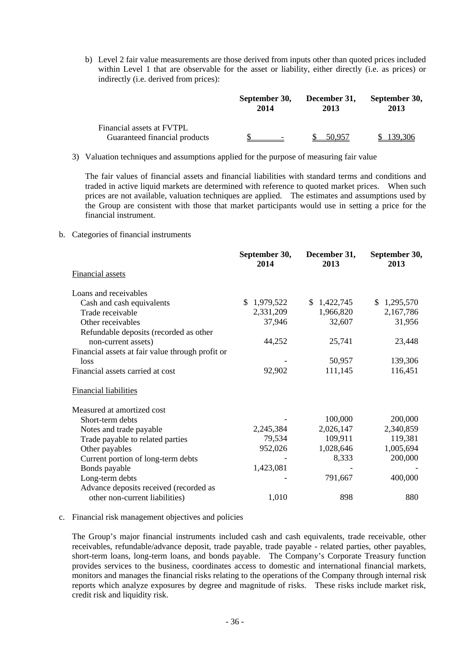b) Level 2 fair value measurements are those derived from inputs other than quoted prices included within Level 1 that are observable for the asset or liability, either directly (i.e. as prices) or indirectly (i.e. derived from prices):

|                                                            | September 30,  | December 31, | September 30, |
|------------------------------------------------------------|----------------|--------------|---------------|
|                                                            | 2014           | 2013         | 2013          |
| Financial assets at FVTPL<br>Guaranteed financial products | $\overline{a}$ | 50.957       | \$139.306     |

3) Valuation techniques and assumptions applied for the purpose of measuring fair value

The fair values of financial assets and financial liabilities with standard terms and conditions and traded in active liquid markets are determined with reference to quoted market prices. When such prices are not available, valuation techniques are applied. The estimates and assumptions used by the Group are consistent with those that market participants would use in setting a price for the financial instrument.

b. Categories of financial instruments

|                                                  | September 30,<br>2014 | December 31,<br>2013 | September 30,<br>2013 |
|--------------------------------------------------|-----------------------|----------------------|-----------------------|
| <b>Financial assets</b>                          |                       |                      |                       |
| Loans and receivables                            |                       |                      |                       |
| Cash and cash equivalents                        | \$<br>1,979,522       | \$1,422,745          | \$<br>1,295,570       |
| Trade receivable                                 | 2,331,209             | 1,966,820            | 2,167,786             |
| Other receivables                                | 37,946                | 32,607               | 31,956                |
| Refundable deposits (recorded as other           |                       |                      |                       |
| non-current assets)                              | 44,252                | 25,741               | 23,448                |
| Financial assets at fair value through profit or |                       |                      |                       |
| loss                                             |                       | 50,957               | 139,306               |
| Financial assets carried at cost                 | 92,902                | 111,145              | 116,451               |
| <b>Financial liabilities</b>                     |                       |                      |                       |
| Measured at amortized cost                       |                       |                      |                       |
| Short-term debts                                 |                       | 100,000              | 200,000               |
| Notes and trade payable                          | 2,245,384             | 2,026,147            | 2,340,859             |
| Trade payable to related parties                 | 79,534                | 109,911              | 119,381               |
| Other payables                                   | 952,026               | 1,028,646            | 1,005,694             |
| Current portion of long-term debts               |                       | 8,333                | 200,000               |
| Bonds payable                                    | 1,423,081             |                      |                       |
| Long-term debts                                  |                       | 791,667              | 400,000               |
| Advance deposits received (recorded as           |                       |                      |                       |
| other non-current liabilities)                   | 1,010                 | 898                  | 880                   |
|                                                  |                       |                      |                       |

#### c. Financial risk management objectives and policies

The Group's major financial instruments included cash and cash equivalents, trade receivable, other receivables, refundable/advance deposit, trade payable, trade payable - related parties, other payables, short-term loans, long-term loans, and bonds payable. The Company's Corporate Treasury function provides services to the business, coordinates access to domestic and international financial markets, monitors and manages the financial risks relating to the operations of the Company through internal risk reports which analyze exposures by degree and magnitude of risks. These risks include market risk, credit risk and liquidity risk.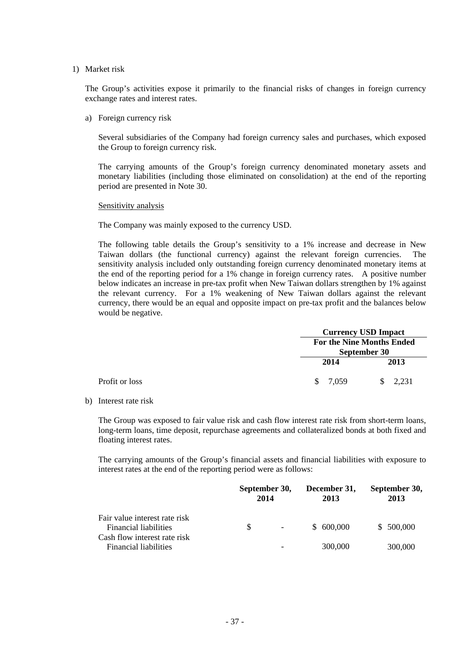#### 1) Market risk

The Group's activities expose it primarily to the financial risks of changes in foreign currency exchange rates and interest rates.

a) Foreign currency risk

Several subsidiaries of the Company had foreign currency sales and purchases, which exposed the Group to foreign currency risk.

The carrying amounts of the Group's foreign currency denominated monetary assets and monetary liabilities (including those eliminated on consolidation) at the end of the reporting period are presented in Note 30.

#### Sensitivity analysis

The Company was mainly exposed to the currency USD.

The following table details the Group's sensitivity to a 1% increase and decrease in New Taiwan dollars (the functional currency) against the relevant foreign currencies. The sensitivity analysis included only outstanding foreign currency denominated monetary items at the end of the reporting period for a 1% change in foreign currency rates. A positive number below indicates an increase in pre-tax profit when New Taiwan dollars strengthen by 1% against the relevant currency. For a 1% weakening of New Taiwan dollars against the relevant currency, there would be an equal and opposite impact on pre-tax profit and the balances below would be negative.

|                |          | <b>Currency USD Impact</b>                       |  |  |
|----------------|----------|--------------------------------------------------|--|--|
|                |          | <b>For the Nine Months Ended</b><br>September 30 |  |  |
|                | 2014     | 2013                                             |  |  |
| Profit or loss | \$ 7.059 | 2,231                                            |  |  |

b) Interest rate risk

The Group was exposed to fair value risk and cash flow interest rate risk from short-term loans, long-term loans, time deposit, repurchase agreements and collateralized bonds at both fixed and floating interest rates.

The carrying amounts of the Group's financial assets and financial liabilities with exposure to interest rates at the end of the reporting period were as follows:

|                                                               | September 30,<br>2014 |                          | December 31,<br>2013 | September 30,<br>2013 |  |
|---------------------------------------------------------------|-----------------------|--------------------------|----------------------|-----------------------|--|
| Fair value interest rate risk<br><b>Financial liabilities</b> | <sup>\$</sup>         | $\overline{\phantom{a}}$ | \$ 600,000           | \$500,000             |  |
| Cash flow interest rate risk<br><b>Financial liabilities</b>  |                       | -                        | 300,000              | 300,000               |  |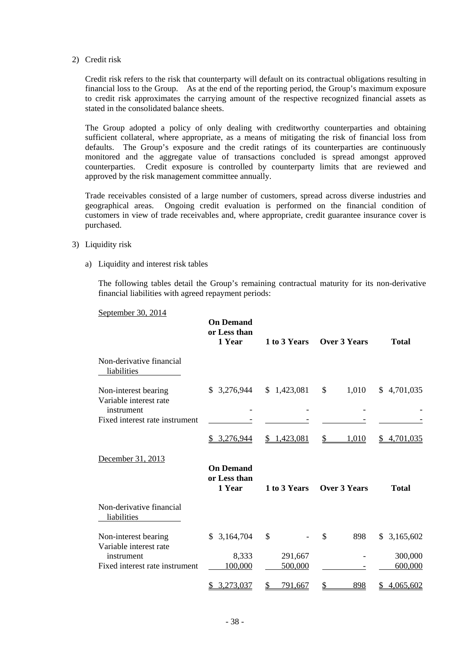2) Credit risk

Credit risk refers to the risk that counterparty will default on its contractual obligations resulting in financial loss to the Group. As at the end of the reporting period, the Group's maximum exposure to credit risk approximates the carrying amount of the respective recognized financial assets as stated in the consolidated balance sheets.

The Group adopted a policy of only dealing with creditworthy counterparties and obtaining sufficient collateral, where appropriate, as a means of mitigating the risk of financial loss from defaults. The Group's exposure and the credit ratings of its counterparties are continuously monitored and the aggregate value of transactions concluded is spread amongst approved counterparties. Credit exposure is controlled by counterparty limits that are reviewed and approved by the risk management committee annually.

Trade receivables consisted of a large number of customers, spread across diverse industries and geographical areas. Ongoing credit evaluation is performed on the financial condition of customers in view of trade receivables and, where appropriate, credit guarantee insurance cover is purchased.

- 3) Liquidity risk
	- a) Liquidity and interest risk tables

The following tables detail the Group's remaining contractual maturity for its non-derivative financial liabilities with agreed repayment periods:

|                                                              | <b>On Demand</b><br>or Less than<br>1 Year | 1 to 3 Years         | <b>Over 3 Years</b>     | <b>Total</b>       |
|--------------------------------------------------------------|--------------------------------------------|----------------------|-------------------------|--------------------|
| Non-derivative financial<br>liabilities                      |                                            |                      |                         |                    |
| Non-interest bearing<br>Variable interest rate<br>instrument | \$3,276,944                                | \$1,423,081          | $\frac{1}{2}$<br>1,010  | \$4,701,035        |
| Fixed interest rate instrument                               |                                            |                      |                         |                    |
|                                                              | \$3,276,944                                | \$1,423,081          | \$<br>1,010             | \$4,701,035        |
| December 31, 2013                                            | <b>On Demand</b><br>or Less than<br>1 Year | 1 to 3 Years         | <b>Over 3 Years</b>     | <b>Total</b>       |
| Non-derivative financial<br>liabilities                      |                                            |                      |                         |                    |
| Non-interest bearing<br>Variable interest rate               | \$3,164,704                                | \$                   | \$<br>898               | \$3,165,602        |
| instrument<br>Fixed interest rate instrument                 | 8,333<br>100,000                           | 291,667<br>500,000   |                         | 300,000<br>600,000 |
|                                                              | 3,273,037<br>S                             | \$<br><u>791,667</u> | <u>\$</u><br><u>898</u> | 4,065,602<br>\$    |

September 30, 2014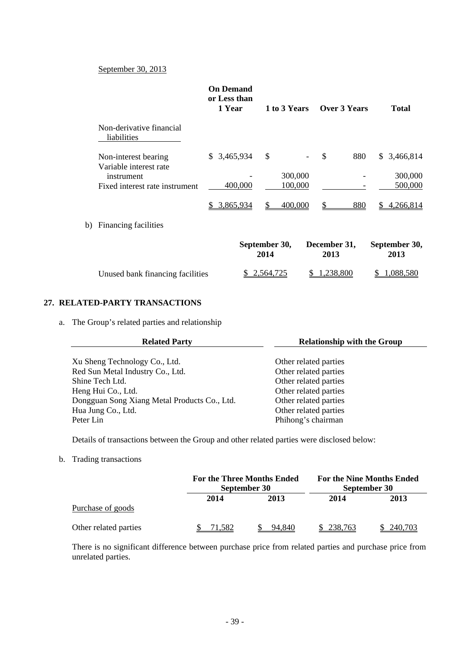### September 30, 2013

|                                                | <b>On Demand</b><br>or Less than<br>1 Year | 1 to 3 Years          |                      | Over 3 Years | <b>Total</b>          |  |
|------------------------------------------------|--------------------------------------------|-----------------------|----------------------|--------------|-----------------------|--|
| Non-derivative financial<br>liabilities        |                                            |                       |                      |              |                       |  |
| Non-interest bearing<br>Variable interest rate | 3,465,934<br>\$                            | \$                    | $\mathcal{S}$        | 880          | 3,466,814<br>S.       |  |
| instrument                                     |                                            | 300,000               |                      |              | 300,000               |  |
| Fixed interest rate instrument                 | 400,000                                    | 100,000               |                      |              | 500,000               |  |
|                                                | 3,865,934<br>S.                            | 400,000               |                      | 880          | 4,266,814             |  |
| Financing facilities<br>b)                     |                                            |                       |                      |              |                       |  |
|                                                |                                            | September 30,<br>2014 | December 31,<br>2013 |              | September 30,<br>2013 |  |
| Unused bank financing facilities               |                                            | <u>2,564,725</u>      | .238,800             |              | 088,580               |  |

### **27. RELATED-PARTY TRANSACTIONS**

a. The Group's related parties and relationship

| <b>Related Party</b>                         | <b>Relationship with the Group</b> |
|----------------------------------------------|------------------------------------|
|                                              |                                    |
| Xu Sheng Technology Co., Ltd.                | Other related parties              |
| Red Sun Metal Industry Co., Ltd.             | Other related parties              |
| Shine Tech Ltd.                              | Other related parties              |
| Heng Hui Co., Ltd.                           | Other related parties              |
| Dongguan Song Xiang Metal Products Co., Ltd. | Other related parties              |
| Hua Jung Co., Ltd.                           | Other related parties              |
| Peter Lin                                    | Phihong's chairman                 |

Details of transactions between the Group and other related parties were disclosed below:

### b. Trading transactions

|                       |        | <b>For the Three Months Ended</b><br>September 30 |         | For the Nine Months Ended<br>September 30 |
|-----------------------|--------|---------------------------------------------------|---------|-------------------------------------------|
| Purchase of goods     | 2014   | 2013                                              | 2014    | 2013                                      |
| Other related parties | 71.582 | 94.840                                            | 238,763 | 240,703                                   |

There is no significant difference between purchase price from related parties and purchase price from unrelated parties.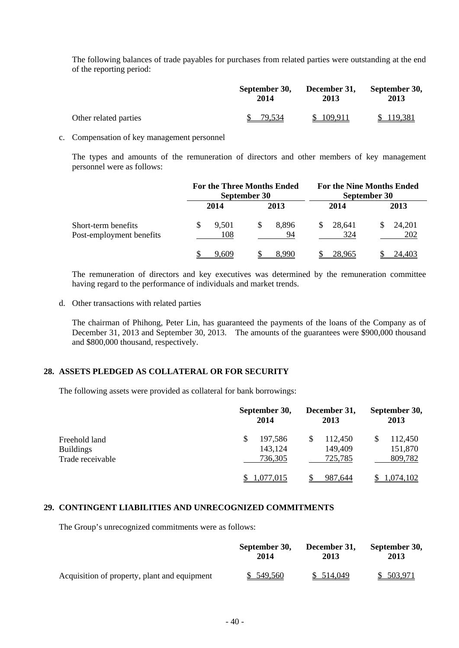The following balances of trade payables for purchases from related parties were outstanding at the end of the reporting period:

|                       | September 30, | December 31, | September 30, |  |
|-----------------------|---------------|--------------|---------------|--|
|                       | 2014          | 2013         | 2013          |  |
| Other related parties | 79,534        | \$109.911    | \$119,381     |  |

c. Compensation of key management personnel

The types and amounts of the remuneration of directors and other members of key management personnel were as follows:

|                                                 |              | <b>For the Three Months Ended</b><br>September 30 |               | <b>For the Nine Months Ended</b><br>September 30 |
|-------------------------------------------------|--------------|---------------------------------------------------|---------------|--------------------------------------------------|
|                                                 | 2014         | 2013                                              | 2014          | 2013                                             |
| Short-term benefits<br>Post-employment benefits | 9,501<br>108 | 8.896<br>94                                       | 28.641<br>324 | 24,201<br>202                                    |
|                                                 | 9.609        | 8.990                                             | 28.965        | 24.403                                           |

The remuneration of directors and key executives was determined by the remuneration committee having regard to the performance of individuals and market trends.

d. Other transactions with related parties

The chairman of Phihong, Peter Lin, has guaranteed the payments of the loans of the Company as of December 31, 2013 and September 30, 2013. The amounts of the guarantees were \$900,000 thousand and \$800,000 thousand, respectively.

### **28. ASSETS PLEDGED AS COLLATERAL OR FOR SECURITY**

The following assets were provided as collateral for bank borrowings:

|                                                       | September 30,<br>2014               | December 31,<br>2013          | September 30,<br>2013         |  |
|-------------------------------------------------------|-------------------------------------|-------------------------------|-------------------------------|--|
| Freehold land<br><b>Buildings</b><br>Trade receivable | 197,586<br>\$<br>143,124<br>736,305 | 112,450<br>149,409<br>725,785 | 112,450<br>151,870<br>809,782 |  |
|                                                       | <u>.077,015</u>                     | 987,644                       | <u>1,074,102</u>              |  |

### **29. CONTINGENT LIABILITIES AND UNRECOGNIZED COMMITMENTS**

The Group's unrecognized commitments were as follows:

|                                              | September 30, | December 31. | September 30, |  |
|----------------------------------------------|---------------|--------------|---------------|--|
|                                              | 2014          | 2013         | 2013          |  |
| Acquisition of property, plant and equipment | \$ 549,560    | \$514,049    | \$ 503,971    |  |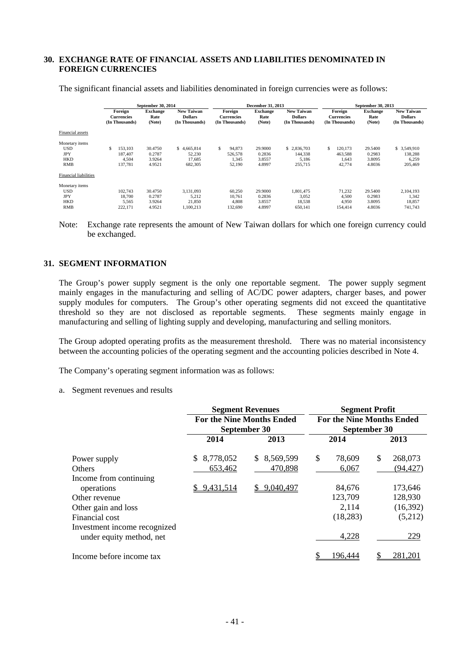### **30. EXCHANGE RATE OF FINANCIAL ASSETS AND LIABILITIES DENOMINATED IN FOREIGN CURRENCIES**

|                                                                                                        | September 30, 2014 |                                                |                                       |                                                       | <b>December 31, 2013</b> |                                                |                                       |                                                       | September 30, 2013 |                                                |                                       |                                                       |
|--------------------------------------------------------------------------------------------------------|--------------------|------------------------------------------------|---------------------------------------|-------------------------------------------------------|--------------------------|------------------------------------------------|---------------------------------------|-------------------------------------------------------|--------------------|------------------------------------------------|---------------------------------------|-------------------------------------------------------|
|                                                                                                        |                    | Foreign<br><b>Currencies</b><br>(In Thousands) | <b>Exchange</b><br>Rate<br>(Note)     | <b>New Taiwan</b><br><b>Dollars</b><br>(In Thousands) |                          | Foreign<br><b>Currencies</b><br>(In Thousands) | <b>Exchange</b><br>Rate<br>(Note)     | <b>New Taiwan</b><br><b>Dollars</b><br>(In Thousands) |                    | Foreign<br><b>Currencies</b><br>(In Thousands) | <b>Exchange</b><br>Rate<br>(Note)     | <b>New Taiwan</b><br><b>Dollars</b><br>(In Thousands) |
| Financial assets                                                                                       |                    |                                                |                                       |                                                       |                          |                                                |                                       |                                                       |                    |                                                |                                       |                                                       |
| Monetary items<br><b>USD</b><br><b>JPY</b><br><b>HKD</b><br><b>RMB</b><br><b>Financial liabilities</b> | \$                 | 153.103<br>187,407<br>4,504<br>137,781         | 30.4750<br>0.2787<br>3.9264<br>4.9521 | \$4.665,814<br>52,230<br>17.685<br>682,305            | \$.                      | 94,873<br>526,578<br>1,345<br>52,190           | 29.9000<br>0.2836<br>3.8557<br>4.8997 | \$2.836,703<br>144,338<br>5,186<br>255,715            | S.                 | 120,173<br>463,588<br>1,643<br>42,774          | 29.5400<br>0.2983<br>3.8095<br>4.8036 | \$ 3,549,910<br>138,288<br>6,259<br>205,469           |
| Monetary items<br><b>USD</b><br><b>JPY</b><br><b>HKD</b><br><b>RMB</b>                                 |                    | 102.743<br>18.700<br>5,565<br>222,171          | 30.4750<br>0.2787<br>3.9264<br>4.9521 | 3.131.093<br>5,212<br>21,850<br>1,100,213             |                          | 60,250<br>10,761<br>4.808<br>132,690           | 29.9000<br>0.2836<br>3.8557<br>4.8997 | 1.801.475<br>3,052<br>18,538<br>650,141               |                    | 71.232<br>4,500<br>4,950<br>154,414            | 29.5400<br>0.2983<br>3.8095<br>4.8036 | 2.104.193<br>1,342<br>18,857<br>741,743               |

The significant financial assets and liabilities denominated in foreign currencies were as follows:

Note: Exchange rate represents the amount of New Taiwan dollars for which one foreign currency could be exchanged.

#### **31. SEGMENT INFORMATION**

The Group's power supply segment is the only one reportable segment. The power supply segment mainly engages in the manufacturing and selling of AC/DC power adapters, charger bases, and power supply modules for computers. The Group's other operating segments did not exceed the quantitative threshold so they are not disclosed as reportable segments. These segments mainly engage in manufacturing and selling of lighting supply and developing, manufacturing and selling monitors.

The Group adopted operating profits as the measurement threshold. There was no material inconsistency between the accounting policies of the operating segment and the accounting policies described in Note 4.

The Company's operating segment information was as follows:

#### a. Segment revenues and results

|                                                          |                 | <b>Segment Revenues</b>          | <b>Segment Profit</b>            |               |  |  |  |
|----------------------------------------------------------|-----------------|----------------------------------|----------------------------------|---------------|--|--|--|
|                                                          |                 | <b>For the Nine Months Ended</b> | <b>For the Nine Months Ended</b> |               |  |  |  |
|                                                          |                 | September 30                     | September 30                     |               |  |  |  |
|                                                          | 2014            | 2013                             | 2014                             | 2013          |  |  |  |
| Power supply                                             | 8,778,052<br>S. | 8,569,599<br>S.                  | \$<br>78,609                     | \$<br>268,073 |  |  |  |
| <b>Others</b>                                            | 653,462         | 470,898                          | 6,067                            | (94, 427)     |  |  |  |
| Income from continuing                                   |                 |                                  |                                  |               |  |  |  |
| operations                                               | \$9,431,514     | 9,040,497                        | 84,676                           | 173,646       |  |  |  |
| Other revenue                                            |                 |                                  | 123,709                          | 128,930       |  |  |  |
| Other gain and loss                                      |                 |                                  | 2,114                            | (16,392)      |  |  |  |
| Financial cost                                           |                 |                                  | (18, 283)                        | (5,212)       |  |  |  |
| Investment income recognized<br>under equity method, net |                 |                                  | 4,228                            | 229           |  |  |  |
| Income before income tax                                 |                 |                                  | 196,444                          | 281,201       |  |  |  |